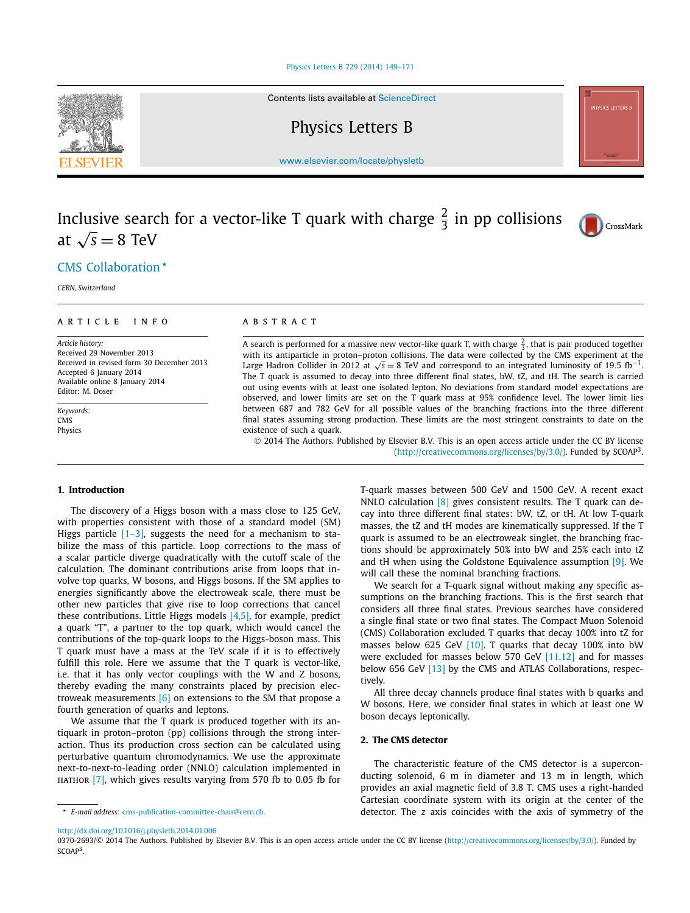### [Physics Letters B 729 \(2014\) 149–171](http://dx.doi.org/10.1016/j.physletb.2014.01.006)

Contents lists available at [ScienceDirect](http://www.ScienceDirect.com/)

Physics Letters B

[www.elsevier.com/locate/physletb](http://www.elsevier.com/locate/physletb)

# Inclusive search for a vector-like T quark with charge  $\frac{2}{3}$  in pp collisions at  $\sqrt{s} = 8$  TeV

# [.CMS Collaboration](#page-8-0) *-*

*CERN, Switzerland*

### article info abstract

*Article history:* Received 29 November 2013 Received in revised form 30 December 2013 Accepted 6 January 2014 Available online 8 January 2014 Editor: M. Doser

*Keywords:* CMS Physics

A search is performed for a massive new vector-like quark T, with charge  $\frac{2}{3}$ , that is pair produced together with its antiparticle in proton–proton collisions. The data were collected by the CMS experiment at the Large Hadron Collider in 2012 at  $\sqrt{s} = 8$  TeV and correspond to an integrated luminosity of 19.5 fb<sup>-1</sup>. The T quark is assumed to decay into three different final states, bW, tZ, and tH. The search is carried out using events with at least one isolated lepton. No deviations from standard model expectations are observed, and lower limits are set on the T quark mass at 95% confidence level. The lower limit lies between 687 and 782 GeV for all possible values of the branching fractions into the three different final states assuming strong production. These limits are the most stringent constraints to date on the existence of such a quark.

© 2014 The Authors. Published by Elsevier B.V. This is an open access article under the CC BY license [\(http://creativecommons.org/licenses/by/3.0/\)](http://creativecommons.org/licenses/by/3.0/). Funded by  $SCOAP<sup>3</sup>$ .

### **1. Introduction**

The discovery of a Higgs boson with a mass close to 125 GeV, with properties consistent with those of a standard model (SM) Higgs particle  $[1-3]$ , suggests the need for a mechanism to stabilize the mass of this particle. Loop corrections to the mass of a scalar particle diverge quadratically with the cutoff scale of the calculation. The dominant contributions arise from loops that involve top quarks, W bosons, and Higgs bosons. If the SM applies to energies significantly above the electroweak scale, there must be other new particles that give rise to loop corrections that cancel these contributions. Little Higgs models  $[4,5]$ , for example, predict a quark "T", a partner to the top quark, which would cancel the contributions of the top-quark loops to the Higgs-boson mass. This T quark must have a mass at the TeV scale if it is to effectively fulfill this role. Here we assume that the T quark is vector-like, i.e. that it has only vector couplings with the W and Z bosons, thereby evading the many constraints placed by precision electroweak measurements [\[6\]](#page-7-0) on extensions to the SM that propose a fourth generation of quarks and leptons.

We assume that the T quark is produced together with its antiquark in proton–proton (pp) collisions through the strong interaction. Thus its production cross section can be calculated using perturbative quantum chromodynamics. We use the approximate next-to-next-to-leading order (NNLO) calculation implemented in hathor [\[7\],](#page-7-0) which gives results varying from 570 fb to 0.05 fb for T-quark masses between 500 GeV and 1500 GeV. A recent exact NNLO calculation [\[8\]](#page-7-0) gives consistent results. The T quark can decay into three different final states: bW, tZ, or tH. At low T-quark masses, the tZ and tH modes are kinematically suppressed. If the T quark is assumed to be an electroweak singlet, the branching fractions should be approximately 50% into bW and 25% each into tZ and tH when using the Goldstone Equivalence assumption  $[9]$ . We will call these the nominal branching fractions.

CrossMark

We search for a T-quark signal without making any specific assumptions on the branching fractions. This is the first search that considers all three final states. Previous searches have considered a single final state or two final states. The Compact Muon Solenoid (CMS) Collaboration excluded T quarks that decay 100% into tZ for masses below 625 GeV [\[10\].](#page-7-0) T quarks that decay 100% into bW were excluded for masses below 570 GeV [\[11,12\]](#page-7-0) and for masses below 656 GeV [\[13\]](#page-7-0) by the CMS and ATLAS Collaborations, respectively.

All three decay channels produce final states with b quarks and W bosons. Here, we consider final states in which at least one W boson decays leptonically.

### **2. The CMS detector**

The characteristic feature of the CMS detector is a superconducting solenoid, 6 m in diameter and 13 m in length, which provides an axial magnetic field of 3.8 T. CMS uses a right-handed Cartesian coordinate system with its origin at the center of the detector. The *z* axis coincides with the axis of symmetry of the



*<sup>-</sup> E-mail address:* [cms-publication-committee-chair@cern.ch](mailto:cms-publication-committee-chair@cern.ch).

<http://dx.doi.org/10.1016/j.physletb.2014.01.006>

<sup>0370-2693/© 2014</sup> The Authors. Published by Elsevier B.V. This is an open access article under the CC BY license [\(http://creativecommons.org/licenses/by/3.0/](http://creativecommons.org/licenses/by/3.0/)). Funded by SCOAP<sup>3</sup>.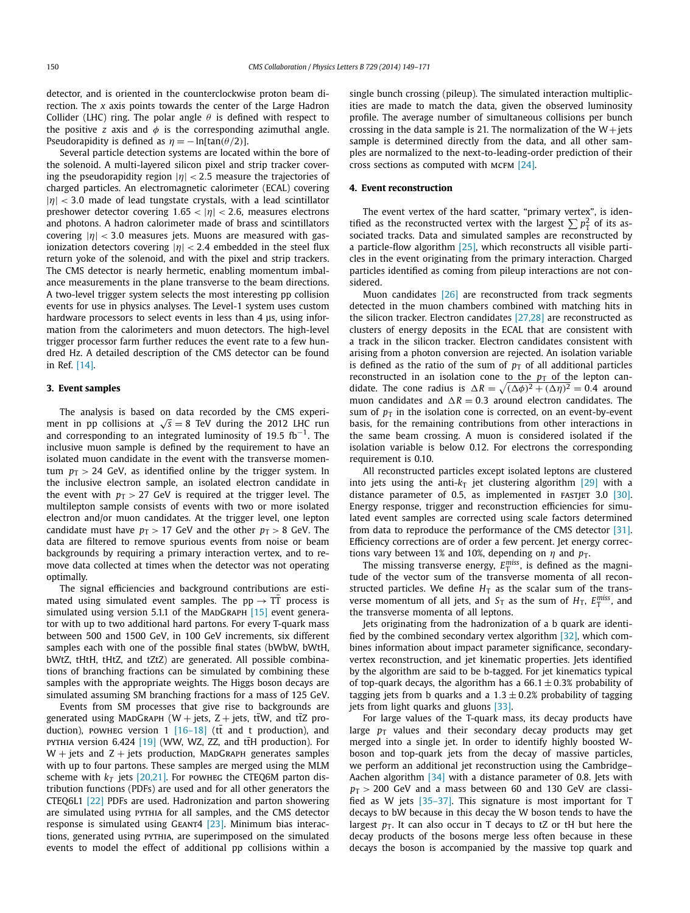detector, and is oriented in the counterclockwise proton beam direction. The *x* axis points towards the center of the Large Hadron Collider (LHC) ring. The polar angle  $\theta$  is defined with respect to the positive *z* axis and  $\phi$  is the corresponding azimuthal angle. Pseudorapidity is defined as  $\eta = -\ln[\tan(\theta/2)]$ .

Several particle detection systems are located within the bore of the solenoid. A multi-layered silicon pixel and strip tracker covering the pseudorapidity region |*η*| *<* <sup>2</sup>*.*5 measure the trajectories of charged particles. An electromagnetic calorimeter (ECAL) covering  $|\eta|$  < 3.0 made of lead tungstate crystals, with a lead scintillator preshower detector covering 1*.*<sup>65</sup> *<* |*η*| *<* <sup>2</sup>*.*6, measures electrons and photons. A hadron calorimeter made of brass and scintillators covering |*η*| *<* <sup>3</sup>*.*0 measures jets. Muons are measured with gasionization detectors covering |*η*| *<* <sup>2</sup>*.*4 embedded in the steel flux return yoke of the solenoid, and with the pixel and strip trackers. The CMS detector is nearly hermetic, enabling momentum imbalance measurements in the plane transverse to the beam directions. A two-level trigger system selects the most interesting pp collision events for use in physics analyses. The Level-1 system uses custom hardware processors to select events in less than 4 μs, using information from the calorimeters and muon detectors. The high-level trigger processor farm further reduces the event rate to a few hundred Hz. A detailed description of the CMS detector can be found in Ref. [\[14\].](#page-7-0)

### **3. Event samples**

The analysis is based on data recorded by the CMS experiment in pp collisions at  $\sqrt{s} = 8$  TeV during the 2012 LHC run and corresponding to an integrated luminosity of 19.5 fb<sup>-1</sup>. The inclusive muon sample is defined by the requirement to have an isolated muon candidate in the event with the transverse momentum  $p_T > 24$  GeV, as identified online by the trigger system. In the inclusive electron sample, an isolated electron candidate in the event with  $p_T > 27$  GeV is required at the trigger level. The multilepton sample consists of events with two or more isolated electron and/or muon candidates. At the trigger level, one lepton candidate must have  $p<sub>T</sub> > 17$  GeV and the other  $p<sub>T</sub> > 8$  GeV. The data are filtered to remove spurious events from noise or beam backgrounds by requiring a primary interaction vertex, and to remove data collected at times when the detector was not operating optimally.

The signal efficiencies and background contributions are estimated using simulated event samples. The  $pp \rightarrow T\bar{T}$  process is simulated using version 5.1.1 of the MADGRAPH  $[15]$  event generator with up to two additional hard partons. For every T-quark mass between 500 and 1500 GeV, in 100 GeV increments, six different samples each with one of the possible final states (bWbW, bWtH, bWtZ, tHtH, tHtZ, and tZtZ) are generated. All possible combinations of branching fractions can be simulated by combining these samples with the appropriate weights. The Higgs boson decays are simulated assuming SM branching fractions for a mass of 125 GeV.

Events from SM processes that give rise to backgrounds are generated using MADGRAPH (W + jets, Z + jets, ttW, and ttZ production), POWHEG version 1  $[16-18]$  (tt and t production), and PYTHIA version 6.424  $[19]$  (WW, WZ, ZZ, and ttH production). For  $W +$  jets and  $Z +$  jets production, MADGRAPH generates samples with up to four partons. These samples are merged using the MLM scheme with  $k_T$  jets [\[20,21\].](#page-7-0) For powhec the CTEQ6M parton distribution functions (PDFs) are used and for all other generators the CTEQ6L1 [\[22\]](#page-7-0) PDFs are used. Hadronization and parton showering are simulated using pythia for all samples, and the CMS detector response is simulated using GEANT4 [\[23\].](#page-7-0) Minimum bias interactions, generated using pythia, are superimposed on the simulated events to model the effect of additional pp collisions within a single bunch crossing (pileup). The simulated interaction multiplicities are made to match the data, given the observed luminosity profile. The average number of simultaneous collisions per bunch crossing in the data sample is 21. The normalization of the  $W+$ jets sample is determined directly from the data, and all other samples are normalized to the next-to-leading-order prediction of their cross sections as computed with MCFM  $[24]$ .

### **4. Event reconstruction**

The event vertex of the hard scatter, "primary vertex", is identified as the reconstructed vertex with the largest  $\sum p_{\rm T}^2$  of its associated tracks. Data and simulated samples are reconstructed by a particle-flow algorithm [\[25\],](#page-7-0) which reconstructs all visible particles in the event originating from the primary interaction. Charged particles identified as coming from pileup interactions are not considered.

Muon candidates [\[26\]](#page-7-0) are reconstructed from track segments detected in the muon chambers combined with matching hits in the silicon tracker. Electron candidates  $[27,28]$  are reconstructed as clusters of energy deposits in the ECAL that are consistent with a track in the silicon tracker. Electron candidates consistent with arising from a photon conversion are rejected. An isolation variable is defined as the ratio of the sum of  $p<sub>T</sub>$  of all additional particles reconstructed in an isolation cone to the  $p<sub>T</sub>$  of the lepton candidate. The cone radius is  $\Delta R = \sqrt{(\Delta \phi)^2 + (\Delta \eta)^2} = 0.4$  around muon candidates and  $\Delta R = 0.3$  around electron candidates. The sum of  $p<sub>T</sub>$  in the isolation cone is corrected, on an event-by-event basis, for the remaining contributions from other interactions in the same beam crossing. A muon is considered isolated if the isolation variable is below 0.12. For electrons the corresponding requirement is 0.10.

All reconstructed particles except isolated leptons are clustered into jets using the anti- $k<sub>T</sub>$  jet clustering algorithm [\[29\]](#page-7-0) with a distance parameter of 0.5, as implemented in  $FAST|ET$  3.0 [\[30\].](#page-7-0) Energy response, trigger and reconstruction efficiencies for simulated event samples are corrected using scale factors determined from data to reproduce the performance of the CMS detector [\[31\].](#page-7-0) Efficiency corrections are of order a few percent. Jet energy corrections vary between 1% and 10%, depending on  $\eta$  and  $p_T$ .

The missing transverse energy,  $E_T^{miss}$ , is defined as the magnitude of the vector sum of the transverse momenta of all reconstructed particles. We define  $H<sub>T</sub>$  as the scalar sum of the transverse momentum of all jets, and  $S_T$  as the sum of  $H_T$ ,  $E_T^{miss}$ , and the transverse momenta of all leptons.

Jets originating from the hadronization of a b quark are identified by the combined secondary vertex algorithm  $[32]$ , which combines information about impact parameter significance, secondaryvertex reconstruction, and jet kinematic properties. Jets identified by the algorithm are said to be b-tagged. For jet kinematics typical of top-quark decays, the algorithm has a  $66.1 \pm 0.3$ % probability of tagging jets from b quarks and a  $1.3 \pm 0.2$ % probability of tagging jets from light quarks and gluons [\[33\].](#page-7-0)

For large values of the T-quark mass, its decay products have large  $p_T$  values and their secondary decay products may get merged into a single jet. In order to identify highly boosted Wboson and top-quark jets from the decay of massive particles, we perform an additional jet reconstruction using the Cambridge– Aachen algorithm [\[34\]](#page-7-0) with a distance parameter of 0.8. Jets with  $p_T > 200$  GeV and a mass between 60 and 130 GeV are classified as W jets [\[35–37\].](#page-7-0) This signature is most important for T decays to bW because in this decay the W boson tends to have the largest  $p_T$ . It can also occur in T decays to tZ or tH but here the decay products of the bosons merge less often because in these decays the boson is accompanied by the massive top quark and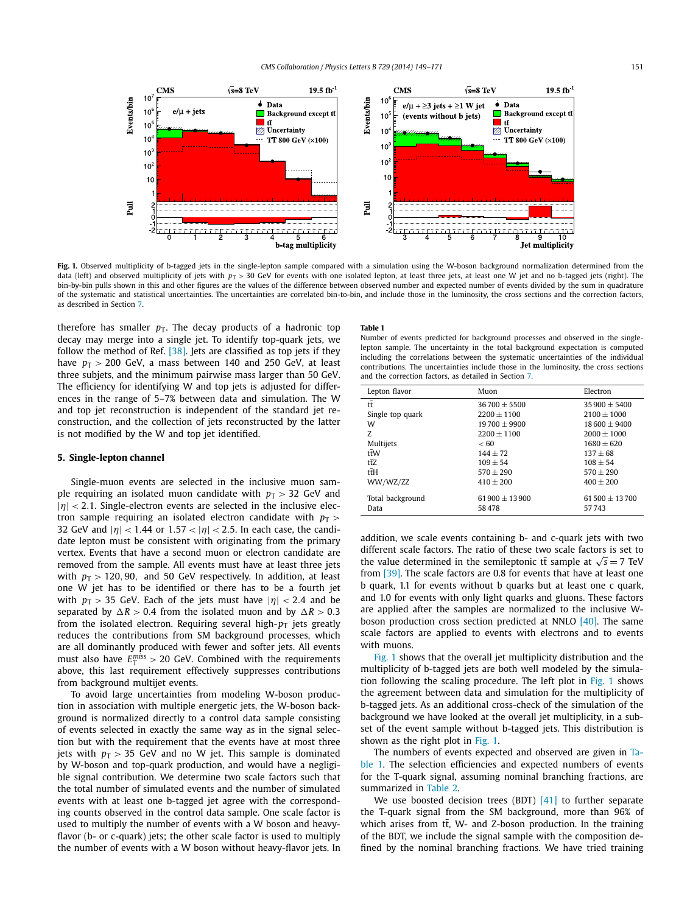

Fig. 1. Observed multiplicity of b-tagged jets in the single-lepton sample compared with a simulation using the W-boson background normalization determined from the data (left) and observed multiplicity of jets with *p*<sub>T</sub> > 30 GeV for events with one isolated lepton, at least three jets, at least one W jet and no b-tagged jets (right). The bin-by-bin pulls shown in this and other figures are the values of the difference between observed number and expected number of events divided by the sum in quadrature of the systematic and statistical uncertainties. The uncertainties are correlated bin-to-bin, and include those in the luminosity, the cross sections and the correction factors, as described in Section [7.](#page-5-0)

therefore has smaller  $p<sub>T</sub>$ . The decay products of a hadronic top decay may merge into a single jet. To identify top-quark jets, we follow the method of Ref. [\[38\].](#page-8-0) Jets are classified as top jets if they have  $p_T > 200$  GeV, a mass between 140 and 250 GeV, at least three subjets, and the minimum pairwise mass larger than 50 GeV. The efficiency for identifying W and top jets is adjusted for differences in the range of 5–7% between data and simulation. The W and top jet reconstruction is independent of the standard jet reconstruction, and the collection of jets reconstructed by the latter is not modified by the W and top jet identified.

### **5. Single-lepton channel**

Single-muon events are selected in the inclusive muon sample requiring an isolated muon candidate with  $p_T > 32$  GeV and  $|\eta|$  < 2.1. Single-electron events are selected in the inclusive electron sample requiring an isolated electron candidate with  $p<sub>T</sub>$  > 32 GeV and |*η*| *<* <sup>1</sup>*.*44 or 1*.*<sup>57</sup> *<* |*η*| *<* <sup>2</sup>*.*5. In each case, the candidate lepton must be consistent with originating from the primary vertex. Events that have a second muon or electron candidate are removed from the sample. All events must have at least three jets with  $p_T > 120, 90$ , and 50 GeV respectively. In addition, at least one W jet has to be identified or there has to be a fourth jet with  $p_T > 35$  GeV. Each of the jets must have  $|\eta| < 2.4$  and be separated by  $\Delta R > 0.4$  from the isolated muon and by  $\Delta R > 0.3$ from the isolated electron. Requiring several high- $p<sub>T</sub>$  jets greatly reduces the contributions from SM background processes, which are all dominantly produced with fewer and softer jets. All events must also have  $E_{\text{T}}^{\text{miss}} > 20$  GeV. Combined with the requirements above, this last requirement effectively suppresses contributions from background multijet events.

To avoid large uncertainties from modeling W-boson production in association with multiple energetic jets, the W-boson background is normalized directly to a control data sample consisting of events selected in exactly the same way as in the signal selection but with the requirement that the events have at most three jets with  $p_T > 35$  GeV and no W jet. This sample is dominated by W-boson and top-quark production, and would have a negligible signal contribution. We determine two scale factors such that the total number of simulated events and the number of simulated events with at least one b-tagged jet agree with the corresponding counts observed in the control data sample. One scale factor is used to multiply the number of events with a W boson and heavyflavor (b- or c-quark) jets; the other scale factor is used to multiply the number of events with a W boson without heavy-flavor jets. In

### **Table 1**

Number of events predicted for background processes and observed in the singlelepton sample. The uncertainty in the total background expectation is computed including the correlations between the systematic uncertainties of the individual contributions. The uncertainties include those in the luminosity, the cross sections and the correction factors, as detailed in Section [7.](#page-5-0)

| Lepton flavor    | Muon            | Electron        |
|------------------|-----------------|-----------------|
| tt               | $36700 + 5500$  | $35900 + 5400$  |
| Single top quark | $2200 + 1100$   | $2100 + 1000$   |
| W                | $19700 + 9900$  | $18600 + 9400$  |
| Z                | $2200 + 1100$   | $2000 + 1000$   |
| Multijets        | < 60            | $1680 + 620$    |
| ttW              | $144 + 72$      | $137 + 68$      |
| tīZ.             | $109 + 54$      | $108 + 54$      |
| ttH              | $570 + 290$     | $570 + 290$     |
| WW/WZ/ZZ         | $410 + 200$     | $400 + 200$     |
| Total background | $61900 + 13900$ | $61500 + 13700$ |
| Data             | 58478           | 57743           |
|                  |                 |                 |

addition, we scale events containing b- and c-quark jets with two different scale factors. The ratio of these two scale factors is set to the value determined in the semileptonic tt sample at  $\sqrt{s} = 7$  TeV from [\[39\].](#page-8-0) The scale factors are 0.8 for events that have at least one b quark, 1.1 for events without b quarks but at least one c quark, and 1.0 for events with only light quarks and gluons. These factors are applied after the samples are normalized to the inclusive Wboson production cross section predicted at NNLO [\[40\].](#page-8-0) The same scale factors are applied to events with electrons and to events with muons.

Fig. 1 shows that the overall jet multiplicity distribution and the multiplicity of b-tagged jets are both well modeled by the simulation following the scaling procedure. The left plot in Fig. 1 shows the agreement between data and simulation for the multiplicity of b-tagged jets. As an additional cross-check of the simulation of the background we have looked at the overall jet multiplicity, in a subset of the event sample without b-tagged jets. This distribution is shown as the right plot in Fig. 1.

The numbers of events expected and observed are given in Table 1. The selection efficiencies and expected numbers of events for the T-quark signal, assuming nominal branching fractions, are summarized in [Table 2.](#page-4-0)

We use boosted decision trees (BDT) [\[41\]](#page-8-0) to further separate the T-quark signal from the SM background, more than 96% of which arises from  $t\bar{t}$ , W- and Z-boson production. In the training of the BDT, we include the signal sample with the composition defined by the nominal branching fractions. We have tried training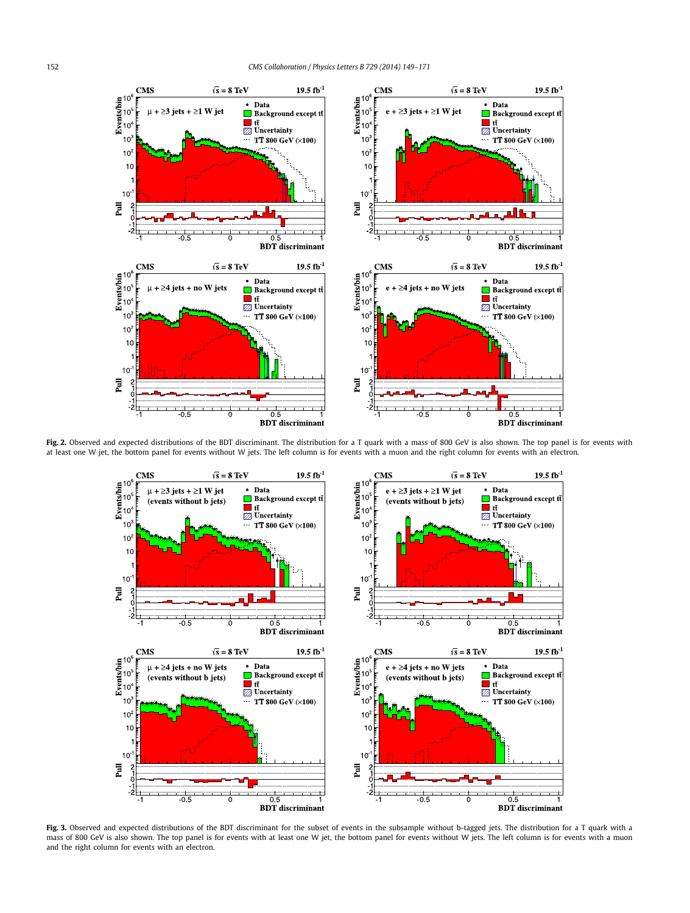<span id="page-3-0"></span>

Fig. 2. Observed and expected distributions of the BDT discriminant. The distribution for a T quark with a mass of 800 GeV is also shown. The top panel is for events with at least one W jet, the bottom panel for events without W jets. The left column is for events with a muon and the right column for events with an electron.



Fig. 3. Observed and expected distributions of the BDT discriminant for the subset of events in the subsample without b-tagged jets. The distribution for a T quark with a mass of 800 GeV is also shown. The top panel is for events with at least one W jet, the bottom panel for events without W jets. The left column is for events with a muon and the right column for events with an electron.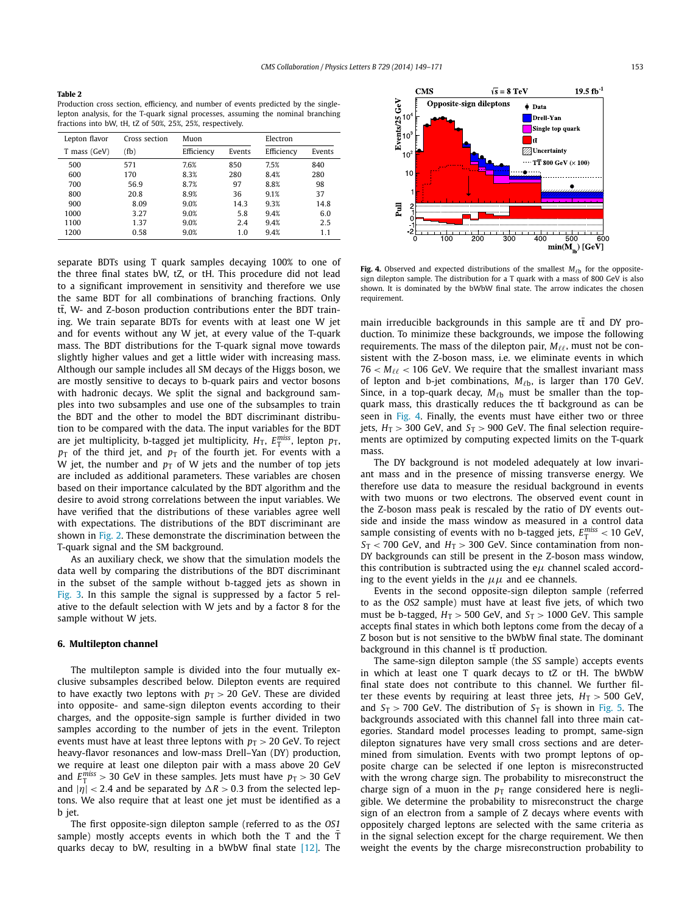<span id="page-4-0"></span>**Table 2** Production cross section, efficiency, and number of events predicted by the singlelepton analysis, for the T-quark signal processes, assuming the nominal branching fractions into bW, tH, tZ of 50%, 25%, 25%, respectively.

| Lepton flavor | Cross section | Muon       |        | Electron   |        |
|---------------|---------------|------------|--------|------------|--------|
| T mass (GeV)  | (fb)          | Efficiency | Events | Efficiency | Events |
| 500           | 571           | 7.6%       | 850    | 7.5%       | 840    |
| 600           | 170           | 8.3%       | 280    | 8.4%       | 280    |
| 700           | 56.9          | 8.7%       | 97     | 8.8%       | 98     |
| 800           | 20.8          | 8.9%       | 36     | 9.1%       | 37     |
| 900           | 8.09          | 9.0%       | 14.3   | 9.3%       | 14.8   |
| 1000          | 3.27          | 9.0%       | 5.8    | 9.4%       | 6.0    |
| 1100          | 1.37          | 9.0%       | 2.4    | 9.4%       | 2.5    |
| 1200          | 0.58          | 9.0%       | 1.0    | 9.4%       | 1.1    |

separate BDTs using T quark samples decaying 100% to one of the three final states bW, tZ, or tH. This procedure did not lead to a significant improvement in sensitivity and therefore we use the same BDT for all combinations of branching fractions. Only tt, W- and Z-boson production contributions enter the BDT training. We train separate BDTs for events with at least one W jet and for events without any W jet, at every value of the T-quark mass. The BDT distributions for the T-quark signal move towards slightly higher values and get a little wider with increasing mass. Although our sample includes all SM decays of the Higgs boson, we are mostly sensitive to decays to b-quark pairs and vector bosons with hadronic decays. We split the signal and background samples into two subsamples and use one of the subsamples to train the BDT and the other to model the BDT discriminant distribution to be compared with the data. The input variables for the BDT are jet multiplicity, b-tagged jet multiplicity,  $H_{\text{T}}$ ,  $E_{\text{T}}^{miss}$ , lepton  $p_{\text{T}}$ ,  $p_T$  of the third jet, and  $p_T$  of the fourth jet. For events with a W jet, the number and  $p<sub>T</sub>$  of W jets and the number of top jets are included as additional parameters. These variables are chosen based on their importance calculated by the BDT algorithm and the desire to avoid strong correlations between the input variables. We have verified that the distributions of these variables agree well with expectations. The distributions of the BDT discriminant are shown in [Fig. 2.](#page-3-0) These demonstrate the discrimination between the T-quark signal and the SM background.

As an auxiliary check, we show that the simulation models the data well by comparing the distributions of the BDT discriminant in the subset of the sample without b-tagged jets as shown in [Fig. 3.](#page-3-0) In this sample the signal is suppressed by a factor 5 relative to the default selection with W jets and by a factor 8 for the sample without W jets.

### **6. Multilepton channel**

The multilepton sample is divided into the four mutually exclusive subsamples described below. Dilepton events are required to have exactly two leptons with  $p_T > 20$  GeV. These are divided into opposite- and same-sign dilepton events according to their charges, and the opposite-sign sample is further divided in two samples according to the number of jets in the event. Trilepton events must have at least three leptons with  $p_T > 20$  GeV. To reject heavy-flavor resonances and low-mass Drell–Yan (DY) production, we require at least one dilepton pair with a mass above 20 GeV and  $E_{\text{T}}^{\text{miss}} > 30$  GeV in these samples. Jets must have  $p_{\text{T}} > 30$  GeV and  $|\eta|$  < 2.4 and be separated by  $\Delta R > 0.3$  from the selected leptons. We also require that at least one jet must be identified as a b jet.

The first opposite-sign dilepton sample (referred to as the *OS1* sample) mostly accepts events in which both the  $T$  and the  $\overline{T}$ quarks decay to bW, resulting in a bWbW final state [\[12\].](#page-7-0) The



**Fig. 4.** Observed and expected distributions of the smallest  $M_{\ell b}$  for the oppositesign dilepton sample. The distribution for a T quark with a mass of 800 GeV is also shown. It is dominated by the bWbW final state. The arrow indicates the chosen requirement.

main irreducible backgrounds in this sample are tt and DY production. To minimize these backgrounds, we impose the following requirements. The mass of the dilepton pair,  $M_{\ell\ell}$ , must not be consistent with the Z-boson mass, i.e. we eliminate events in which  $76 < M_{\ell\ell} < 106$  GeV. We require that the smallest invariant mass of lepton and b-jet combinations,  $M_{\ell b}$ , is larger than 170 GeV. Since, in a top-quark decay,  $M_{\ell b}$  must be smaller than the topquark mass, this drastically reduces the  $t\bar{t}$  background as can be seen in Fig. 4. Finally, the events must have either two or three jets,  $H_T > 300$  GeV, and  $S_T > 900$  GeV. The final selection requirements are optimized by computing expected limits on the T-quark mass.

The DY background is not modeled adequately at low invariant mass and in the presence of missing transverse energy. We therefore use data to measure the residual background in events with two muons or two electrons. The observed event count in the Z-boson mass peak is rescaled by the ratio of DY events outside and inside the mass window as measured in a control data sample consisting of events with no b-tagged jets,  $E_{\text{T}}^{\text{miss}} < 10$  GeV,  $S_T$  < 700 GeV, and  $H_T$  > 300 GeV. Since contamination from non-DY backgrounds can still be present in the Z-boson mass window, this contribution is subtracted using the e*μ* channel scaled according to the event yields in the  $\mu\mu$  and ee channels.

Events in the second opposite-sign dilepton sample (referred to as the *OS2* sample) must have at least five jets, of which two must be b-tagged,  $H_T > 500$  GeV, and  $S_T > 1000$  GeV. This sample accepts final states in which both leptons come from the decay of a Z boson but is not sensitive to the bWbW final state. The dominant background in this channel is  $t\bar{t}$  production.

The same-sign dilepton sample (the *SS* sample) accepts events in which at least one T quark decays to tZ or tH. The bWbW final state does not contribute to this channel. We further filter these events by requiring at least three jets,  $H_T > 500$  GeV, and  $S_T > 700$  GeV. The distribution of  $S_T$  is shown in [Fig. 5.](#page-5-0) The backgrounds associated with this channel fall into three main categories. Standard model processes leading to prompt, same-sign dilepton signatures have very small cross sections and are determined from simulation. Events with two prompt leptons of opposite charge can be selected if one lepton is misreconstructed with the wrong charge sign. The probability to misreconstruct the charge sign of a muon in the  $p<sub>T</sub>$  range considered here is negligible. We determine the probability to misreconstruct the charge sign of an electron from a sample of Z decays where events with oppositely charged leptons are selected with the same criteria as in the signal selection except for the charge requirement. We then weight the events by the charge misreconstruction probability to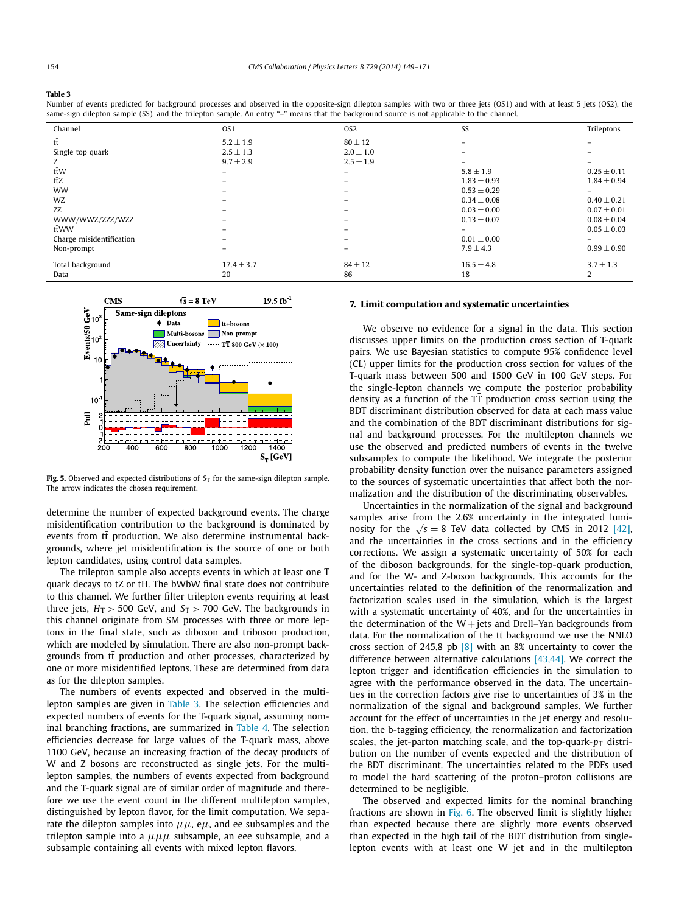### <span id="page-5-0"></span>**Table 3**

Number of events predicted for background processes and observed in the opposite-sign dilepton samples with two or three jets (OS1) and with at least 5 jets (OS2), the same-sign dilepton sample (SS), and the trilepton sample. An entry "–" means that the background source is not applicable to the channel.

| Channel                  | OS <sub>1</sub> | OS <sub>2</sub> | SS              | Trileptons      |
|--------------------------|-----------------|-----------------|-----------------|-----------------|
| tŦ                       | $5.2 \pm 1.9$   | $80 \pm 12$     |                 |                 |
| Single top quark         | $2.5 \pm 1.3$   | $2.0 \pm 1.0$   |                 |                 |
| Z                        | $9.7 \pm 2.9$   | $2.5 \pm 1.9$   |                 |                 |
| ttW                      |                 | $\qquad \qquad$ | $5.8 \pm 1.9$   | $0.25 \pm 0.11$ |
| ttz                      |                 | $\qquad \qquad$ | $1.83 \pm 0.93$ | $1.84 \pm 0.94$ |
| <b>WW</b>                |                 | ۰               | $0.53 \pm 0.29$ | -               |
| WZ                       |                 |                 | $0.34 \pm 0.08$ | $0.40 \pm 0.21$ |
| ZZ                       |                 |                 | $0.03 \pm 0.00$ | $0.07 \pm 0.01$ |
| WWW/WWZ/ZZZ/WZZ          |                 |                 | $0.13 \pm 0.07$ | $0.08 \pm 0.04$ |
| ttWW                     |                 |                 | -               | $0.05 \pm 0.03$ |
| Charge misidentification |                 |                 | $0.01 \pm 0.00$ | -               |
| Non-prompt               | -               | $\qquad \qquad$ | $7.9 \pm 4.3$   | $0.99 \pm 0.90$ |
| Total background         | $17.4 \pm 3.7$  | $84 \pm 12$     | $16.5 \pm 4.8$  | $3.7 \pm 1.3$   |
| Data                     | 20              | 86              | 18              |                 |
|                          |                 |                 |                 |                 |



**Fig. 5.** Observed and expected distributions of  $S_T$  for the same-sign dilepton sample. The arrow indicates the chosen requirement.

determine the number of expected background events. The charge misidentification contribution to the background is dominated by events from  $t\bar{t}$  production. We also determine instrumental backgrounds, where jet misidentification is the source of one or both lepton candidates, using control data samples.

The trilepton sample also accepts events in which at least one T quark decays to tZ or tH. The bWbW final state does not contribute to this channel. We further filter trilepton events requiring at least three jets,  $H_T > 500$  GeV, and  $S_T > 700$  GeV. The backgrounds in this channel originate from SM processes with three or more leptons in the final state, such as diboson and triboson production, which are modeled by simulation. There are also non-prompt backgrounds from  $t\bar{t}$  production and other processes, characterized by one or more misidentified leptons. These are determined from data as for the dilepton samples.

The numbers of events expected and observed in the multilepton samples are given in Table 3. The selection efficiencies and expected numbers of events for the T-quark signal, assuming nominal branching fractions, are summarized in [Table 4.](#page-6-0) The selection efficiencies decrease for large values of the T-quark mass, above 1100 GeV, because an increasing fraction of the decay products of W and Z bosons are reconstructed as single jets. For the multilepton samples, the numbers of events expected from background and the T-quark signal are of similar order of magnitude and therefore we use the event count in the different multilepton samples, distinguished by lepton flavor, for the limit computation. We separate the dilepton samples into  $\mu\mu$ , e $\mu$ , and ee subsamples and the trilepton sample into a  $\mu\mu\mu$  subsample, an eee subsample, and a subsample containing all events with mixed lepton flavors.

### **7. Limit computation and systematic uncertainties**

We observe no evidence for a signal in the data. This section discusses upper limits on the production cross section of T-quark pairs. We use Bayesian statistics to compute 95% confidence level (CL) upper limits for the production cross section for values of the T-quark mass between 500 and 1500 GeV in 100 GeV steps. For the single-lepton channels we compute the posterior probability density as a function of the  $T\bar{T}$  production cross section using the BDT discriminant distribution observed for data at each mass value and the combination of the BDT discriminant distributions for signal and background processes. For the multilepton channels we use the observed and predicted numbers of events in the twelve subsamples to compute the likelihood. We integrate the posterior probability density function over the nuisance parameters assigned to the sources of systematic uncertainties that affect both the normalization and the distribution of the discriminating observables.

Uncertainties in the normalization of the signal and background samples arise from the 2.6% uncertainty in the integrated luminosity for the  $\sqrt{s} = 8$  TeV data collected by CMS in 2012 [\[42\],](#page-8-0) and the uncertainties in the cross sections and in the efficiency corrections. We assign a systematic uncertainty of 50% for each of the diboson backgrounds, for the single-top-quark production, and for the W- and Z-boson backgrounds. This accounts for the uncertainties related to the definition of the renormalization and factorization scales used in the simulation, which is the largest with a systematic uncertainty of 40%, and for the uncertainties in the determination of the  $W+$ jets and Drell–Yan backgrounds from data. For the normalization of the  $t\bar{t}$  background we use the NNLO cross section of 245.8 pb  $[8]$  with an 8% uncertainty to cover the difference between alternative calculations [\[43,44\].](#page-8-0) We correct the lepton trigger and identification efficiencies in the simulation to agree with the performance observed in the data. The uncertainties in the correction factors give rise to uncertainties of 3% in the normalization of the signal and background samples. We further account for the effect of uncertainties in the jet energy and resolution, the b-tagging efficiency, the renormalization and factorization scales, the jet-parton matching scale, and the top-quark- $p<sub>T</sub>$  distribution on the number of events expected and the distribution of the BDT discriminant. The uncertainties related to the PDFs used to model the hard scattering of the proton–proton collisions are determined to be negligible.

The observed and expected limits for the nominal branching fractions are shown in [Fig. 6.](#page-6-0) The observed limit is slightly higher than expected because there are slightly more events observed than expected in the high tail of the BDT distribution from singlelepton events with at least one W jet and in the multilepton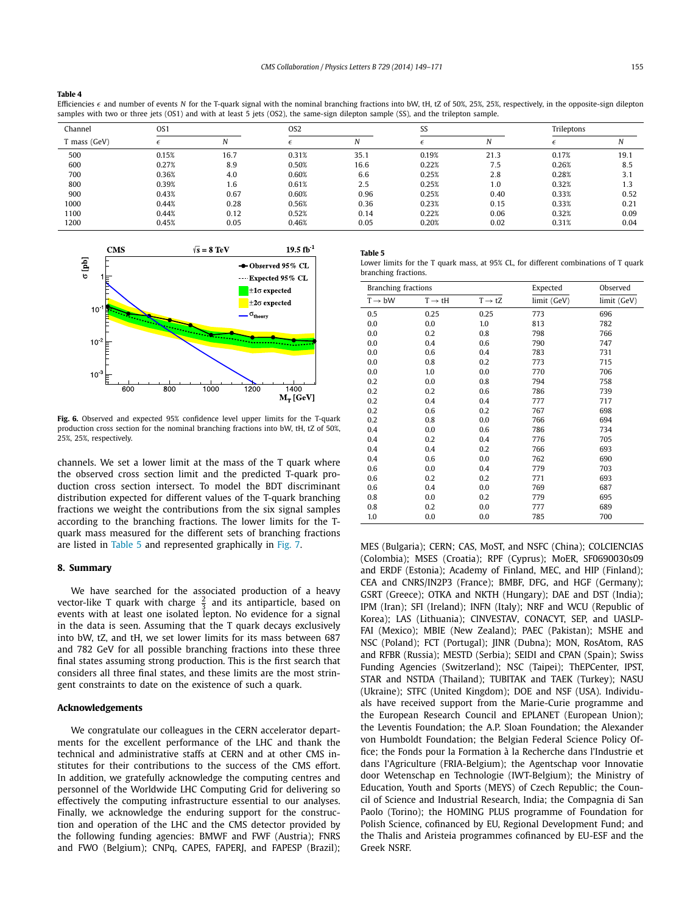### <span id="page-6-0"></span>**Table 4**

Efficiencies  $\epsilon$  and number of events *N* for the T-quark signal with the nominal branching fractions into bW, tH, tZ of 50%, 25%, 25%, respectively, in the opposite-sign dilepton samples with two or three jets (OS1) and with at least 5 jets (OS2), the same-sign dilepton sample (SS), and the trilepton sample.

| Channel      | OS <sub>1</sub> |      | OS <sub>2</sub> |      | SS    |      | Trileptons |      |
|--------------|-----------------|------|-----------------|------|-------|------|------------|------|
| T mass (GeV) |                 |      |                 | Ν    |       |      |            |      |
| 500          | 0.15%           | 16.7 | 0.31%           | 35.1 | 0.19% | 21.3 | 0.17%      | 19.1 |
| 600          | 0.27%           | 8.9  | 0.50%           | 16.6 | 0.22% | 7.5  | 0.26%      | 8.5  |
| 700          | 0.36%           | 4.0  | 0.60%           | 6.6  | 0.25% | 2.8  | 0.28%      | 3.1  |
| 800          | 0.39%           | 1.6  | 0.61%           | 2.5  | 0.25% | 1.0  | 0.32%      |      |
| 900          | 0.43%           | 0.67 | 0.60%           | 0.96 | 0.25% | 0.40 | 0.33%      | 0.52 |
| 1000         | 0.44%           | 0.28 | 0.56%           | 0.36 | 0.23% | 0.15 | 0.33%      | 0.21 |
| 1100         | 0.44%           | 0.12 | 0.52%           | 0.14 | 0.22% | 0.06 | 0.32%      | 0.09 |
| 1200         | 0.45%           | 0.05 | 0.46%           | 0.05 | 0.20% | 0.02 | 0.31%      | 0.04 |



**Fig. 6.** Observed and expected 95% confidence level upper limits for the T-quark production cross section for the nominal branching fractions into bW, tH, tZ of 50%, 25%, 25%, respectively.

channels. We set a lower limit at the mass of the T quark where the observed cross section limit and the predicted T-quark production cross section intersect. To model the BDT discriminant distribution expected for different values of the T-quark branching fractions we weight the contributions from the six signal samples according to the branching fractions. The lower limits for the Tquark mass measured for the different sets of branching fractions are listed in Table 5 and represented graphically in [Fig. 7.](#page-7-0)

### **8. Summary**

We have searched for the associated production of a heavy vector-like T quark with charge  $\frac{2}{3}$  and its antiparticle, based on events with at least one isolated lepton. No evidence for a signal in the data is seen. Assuming that the T quark decays exclusively into bW, tZ, and tH, we set lower limits for its mass between 687 and 782 GeV for all possible branching fractions into these three final states assuming strong production. This is the first search that considers all three final states, and these limits are the most stringent constraints to date on the existence of such a quark.

### **Acknowledgements**

We congratulate our colleagues in the CERN accelerator departments for the excellent performance of the LHC and thank the technical and administrative staffs at CERN and at other CMS institutes for their contributions to the success of the CMS effort. In addition, we gratefully acknowledge the computing centres and personnel of the Worldwide LHC Computing Grid for delivering so effectively the computing infrastructure essential to our analyses. Finally, we acknowledge the enduring support for the construction and operation of the LHC and the CMS detector provided by the following funding agencies: BMWF and FWF (Austria); FNRS and FWO (Belgium); CNPq, CAPES, FAPERJ, and FAPESP (Brazil);

### **Table 5**

Lower limits for the T quark mass, at 95% CL, for different combinations of T quark branching fractions.

| <b>Branching fractions</b> |                    |                    | Expected    | Observed    |
|----------------------------|--------------------|--------------------|-------------|-------------|
| $T \rightarrow bW$         | $T \rightarrow tH$ | $T \rightarrow tZ$ | limit (GeV) | limit (GeV) |
| 0.5                        | 0.25               | 0.25               | 773         | 696         |
| 0.0                        | 0.0                | 1.0                | 813         | 782         |
| 0.0                        | 0.2                | 0.8                | 798         | 766         |
| 0.0                        | 0.4                | 0.6                | 790         | 747         |
| 0.0                        | 0.6                | 0.4                | 783         | 731         |
| 0.0                        | 0.8                | 0.2                | 773         | 715         |
| 0.0                        | 1.0                | 0.0                | 770         | 706         |
| 0.2                        | 0.0                | 0.8                | 794         | 758         |
| 0.2                        | 0.2                | 0.6                | 786         | 739         |
| 0.2                        | 0.4                | 0.4                | 777         | 717         |
| 0.2                        | 0.6                | 0.2                | 767         | 698         |
| 0.2                        | 0.8                | 0.0                | 766         | 694         |
| 0.4                        | 0.0                | 0.6                | 786         | 734         |
| 0.4                        | 0.2                | 0.4                | 776         | 705         |
| 0.4                        | 0.4                | 0.2                | 766         | 693         |
| 0.4                        | 0.6                | 0.0                | 762         | 690         |
| 0.6                        | 0.0                | 0.4                | 779         | 703         |
| 0.6                        | 0.2                | 0.2                | 771         | 693         |
| 0.6                        | 0.4                | 0.0                | 769         | 687         |
| 0.8                        | 0.0                | 0.2                | 779         | 695         |
| 0.8                        | 0.2                | 0.0                | 777         | 689         |
| 1.0                        | 0.0                | 0.0                | 785         | 700         |

MES (Bulgaria); CERN; CAS, MoST, and NSFC (China); COLCIENCIAS (Colombia); MSES (Croatia); RPF (Cyprus); MoER, SF0690030s09 and ERDF (Estonia); Academy of Finland, MEC, and HIP (Finland); CEA and CNRS/IN2P3 (France); BMBF, DFG, and HGF (Germany); GSRT (Greece); OTKA and NKTH (Hungary); DAE and DST (India); IPM (Iran); SFI (Ireland); INFN (Italy); NRF and WCU (Republic of Korea); LAS (Lithuania); CINVESTAV, CONACYT, SEP, and UASLP-FAI (Mexico); MBIE (New Zealand); PAEC (Pakistan); MSHE and NSC (Poland); FCT (Portugal); JINR (Dubna); MON, RosAtom, RAS and RFBR (Russia); MESTD (Serbia); SEIDI and CPAN (Spain); Swiss Funding Agencies (Switzerland); NSC (Taipei); ThEPCenter, IPST, STAR and NSTDA (Thailand); TUBITAK and TAEK (Turkey); NASU (Ukraine); STFC (United Kingdom); DOE and NSF (USA). Individuals have received support from the Marie-Curie programme and the European Research Council and EPLANET (European Union); the Leventis Foundation; the A.P. Sloan Foundation; the Alexander von Humboldt Foundation; the Belgian Federal Science Policy Office; the Fonds pour la Formation à la Recherche dans l'Industrie et dans l'Agriculture (FRIA-Belgium); the Agentschap voor Innovatie door Wetenschap en Technologie (IWT-Belgium); the Ministry of Education, Youth and Sports (MEYS) of Czech Republic; the Council of Science and Industrial Research, India; the Compagnia di San Paolo (Torino); the HOMING PLUS programme of Foundation for Polish Science, cofinanced by EU, Regional Development Fund; and the Thalis and Aristeia programmes cofinanced by EU-ESF and the Greek NSRF.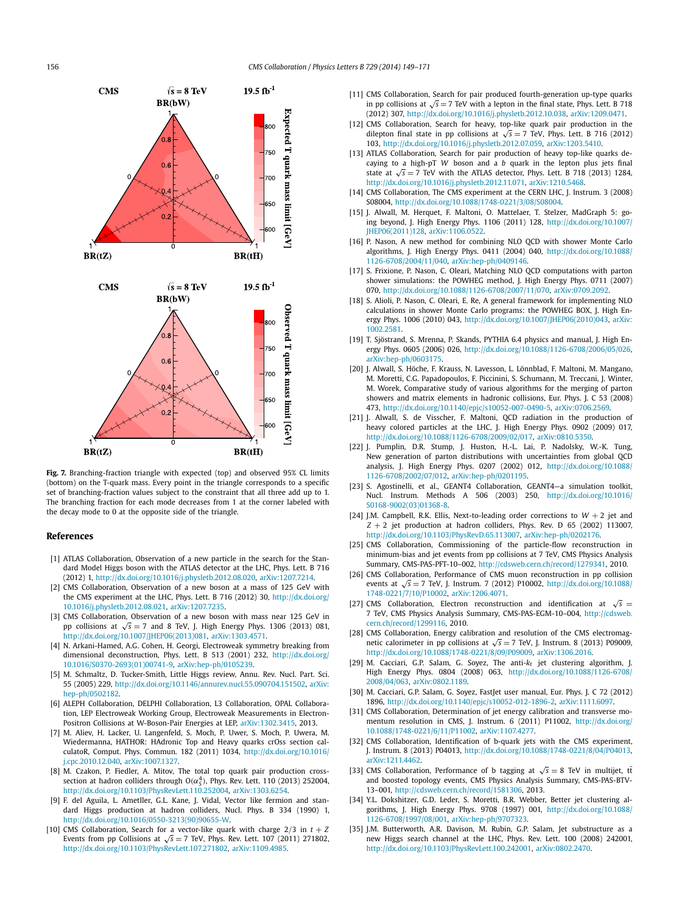<span id="page-7-0"></span>

**Fig. 7.** Branching-fraction triangle with expected (top) and observed 95% CL limits (bottom) on the T-quark mass. Every point in the triangle corresponds to a specific set of branching-fraction values subject to the constraint that all three add up to 1. The branching fraction for each mode decreases from 1 at the corner labeled with the decay mode to 0 at the opposite side of the triangle.

### **References**

- [1] ATLAS Collaboration, Observation of a new particle in the search for the Standard Model Higgs boson with the ATLAS detector at the LHC, Phys. Lett. B 716 (2012) 1, <http://dx.doi.org/10.1016/j.physletb.2012.08.020>, [arXiv:1207.7214.](http://arxiv.org/abs/1207.7214)
- [2] CMS Collaboration, Observation of a new boson at a mass of 125 GeV with the CMS experiment at the LHC, Phys. Lett. B 716 (2012) 30, [http://dx.doi.org/](http://dx.doi.org/10.1016/j.physletb.2012.08.021) [10.1016/j.physletb.2012.08.021,](http://dx.doi.org/10.1016/j.physletb.2012.08.021) [arXiv:1207.7235.](http://arxiv.org/abs/1207.7235)
- [3] CMS Collaboration, Observation of a new boson with mass near 125 GeV in pp collisions at  $\sqrt{s}$  = 7 and 8 TeV, J. High Energy Phys. 1306 (2013) 081, [http://dx.doi.org/10.1007/JHEP06\(2013\)081](http://dx.doi.org/10.1007/JHEP06(2013)081), [arXiv:1303.4571](http://arxiv.org/abs/1303.4571).
- [4] N. Arkani-Hamed, A.G. Cohen, H. Georgi, Electroweak symmetry breaking from dimensional deconstruction, Phys. Lett. B 513 (2001) 232, [http://dx.doi.org/](http://dx.doi.org/10.1016/S0370-2693(01)00741-9) [10.1016/S0370-2693\(01\)00741-9,](http://dx.doi.org/10.1016/S0370-2693(01)00741-9) [arXiv:hep-ph/0105239.](http://arxiv.org/abs/hep-ph/0105239)
- [5] M. Schmaltz, D. Tucker-Smith, Little Higgs review, Annu. Rev. Nucl. Part. Sci. 55 (2005) 229, [http://dx.doi.org/10.1146/annurev.nucl.55.090704.151502,](http://dx.doi.org/10.1146/annurev.nucl.55.090704.151502) [arXiv:](http://arxiv.org/abs/hep-ph/0502182) [hep-ph/0502182.](http://arxiv.org/abs/hep-ph/0502182)
- [6] ALEPH Collaboration, DELPHI Collaboration, L3 Collaboration, OPAL Collaboration, LEP Electroweak Working Group, Electroweak Measurements in Electron-Positron Collisions at W-Boson-Pair Energies at LEP, [arXiv:1302.3415](http://arxiv.org/abs/1302.3415), 2013.
- [7] M. Aliev, H. Lacker, U. Langenfeld, S. Moch, P. Uwer, S. Moch, P. Uwera, M. Wiedermanna, HATHOR: HAdronic Top and Heavy quarks crOss section calculatoR, Comput. Phys. Commun. 182 (2011) 1034, [http://dx.doi.org/10.1016/](http://dx.doi.org/10.1016/j.cpc.2010.12.040) [j.cpc.2010.12.040](http://dx.doi.org/10.1016/j.cpc.2010.12.040), [arXiv:1007.1327](http://arxiv.org/abs/1007.1327).
- [8] M. Czakon, P. Fiedler, A. Mitov, The total top quark pair production crosssection at hadron colliders through  $O(\alpha_S^4)$ , Phys. Rev. Lett. 110 (2013) 252004, <http://dx.doi.org/10.1103/PhysRevLett.110.252004>, [arXiv:1303.6254.](http://arxiv.org/abs/1303.6254)
- [9] F. del Aguila, L. Ametller, G.L. Kane, J. Vidal, Vector like fermion and standard Higgs production at hadron colliders, Nucl. Phys. B 334 (1990) 1, [http://dx.doi.org/10.1016/0550-3213\(90\)90655-W.](http://dx.doi.org/10.1016/0550-3213(90)90655-W)
- [10] CMS Collaboration, Search for a vector-like quark with charge 2*/*3 in *t* + *Z* Events from pp Collisions at  $\sqrt{s}$  = 7 TeV, Phys. Rev. Lett. 107 (2011) 271802, [http://dx.doi.org/10.1103/PhysRevLett.107.271802,](http://dx.doi.org/10.1103/PhysRevLett.107.271802) [arXiv:1109.4985.](http://arxiv.org/abs/1109.4985)
- [11] CMS Collaboration, Search for pair produced fourth-generation up-type quarks in pp collisions at  $\sqrt{s}$  = 7 TeV with a lepton in the final state, Phys. Lett. B 718 (2012) 307, [http://dx.doi.org/10.1016/j.physletb.2012.10.038,](http://dx.doi.org/10.1016/j.physletb.2012.10.038) [arXiv:1209.0471](http://arxiv.org/abs/1209.0471).
- [12] CMS Collaboration, Search for heavy, top-like quark pair production in the dilepton final state in pp collisions at  $\sqrt{s}$  = 7 TeV, Phys. Lett. B 716 (2012) 103, [http://dx.doi.org/10.1016/j.physletb.2012.07.059,](http://dx.doi.org/10.1016/j.physletb.2012.07.059) [arXiv:1203.5410.](http://arxiv.org/abs/1203.5410)
- [13] ATLAS Collaboration, Search for pair production of heavy top-like quarks decaying to a high-pT *W* boson and a *b* quark in the lepton plus jets final state at  $\sqrt{s}$  = 7 TeV with the ATLAS detector, Phys. Lett. B 718 (2013) 1284, <http://dx.doi.org/10.1016/j.physletb.2012.11.071>, [arXiv:1210.5468.](http://arxiv.org/abs/1210.5468)
- [14] CMS Collaboration, The CMS experiment at the CERN LHC, J. Instrum. 3 (2008) S08004, <http://dx.doi.org/10.1088/1748-0221/3/08/S08004>.
- [15] J. Alwall, M. Herquet, F. Maltoni, O. Mattelaer, T. Stelzer, MadGraph 5: going beyond, J. High Energy Phys. 1106 (2011) 128, [http://dx.doi.org/10.1007/](http://dx.doi.org/10.1007/JHEP06(2011)128) [JHEP06\(2011\)128](http://dx.doi.org/10.1007/JHEP06(2011)128), [arXiv:1106.0522.](http://arxiv.org/abs/1106.0522)
- [16] P. Nason, A new method for combining NLO QCD with shower Monte Carlo algorithms, J. High Energy Phys. 0411 (2004) 040, [http://dx.doi.org/10.1088/](http://dx.doi.org/10.1088/1126-6708/2004/11/040) [1126-6708/2004/11/040](http://dx.doi.org/10.1088/1126-6708/2004/11/040), [arXiv:hep-ph/0409146](http://arxiv.org/abs/hep-ph/0409146).
- [17] S. Frixione, P. Nason, C. Oleari, Matching NLO QCD computations with parton shower simulations: the POWHEG method, J. High Energy Phys. 0711 (2007) 070, <http://dx.doi.org/10.1088/1126-6708/2007/11/070>, [arXiv:0709.2092](http://arxiv.org/abs/0709.2092).
- [18] S. Alioli, P. Nason, C. Oleari, E. Re, A general framework for implementing NLO calculations in shower Monte Carlo programs: the POWHEG BOX, J. High Energy Phys. 1006 (2010) 043, [http://dx.doi.org/10.1007/JHEP06\(2010\)043](http://dx.doi.org/10.1007/JHEP06(2010)043), [arXiv:](http://arxiv.org/abs/1002.2581) [1002.2581.](http://arxiv.org/abs/1002.2581)
- [19] T. Sjöstrand, S. Mrenna, P. Skands, PYTHIA 6.4 physics and manual, J. High Energy Phys. 0605 (2006) 026, <http://dx.doi.org/10.1088/1126-6708/2006/05/026>, [arXiv:hep-ph/0603175](http://arxiv.org/abs/hep-ph/0603175).
- [20] J. Alwall, S. Höche, F. Krauss, N. Lavesson, L. Lönnblad, F. Maltoni, M. Mangano, M. Moretti, C.G. Papadopoulos, F. Piccinini, S. Schumann, M. Treccani, J. Winter, M. Worek, Comparative study of various algorithms for the merging of parton showers and matrix elements in hadronic collisions, Eur. Phys. J. C 53 (2008) 473, <http://dx.doi.org/10.1140/epjc/s10052-007-0490-5>, [arXiv:0706.2569](http://arxiv.org/abs/0706.2569).
- [21] J. Alwall, S. de Visscher, F. Maltoni, QCD radiation in the production of heavy colored particles at the LHC, J. High Energy Phys. 0902 (2009) 017, <http://dx.doi.org/10.1088/1126-6708/2009/02/017>, [arXiv:0810.5350.](http://arxiv.org/abs/0810.5350)
- [22] J. Pumplin, D.R. Stump, J. Huston, H.-L. Lai, P. Nadolsky, W.-K. Tung, New generation of parton distributions with uncertainties from global QCD analysis, J. High Energy Phys. 0207 (2002) 012, [http://dx.doi.org/10.1088/](http://dx.doi.org/10.1088/1126-6708/2002/07/012) [1126-6708/2002/07/012](http://dx.doi.org/10.1088/1126-6708/2002/07/012), [arXiv:hep-ph/0201195](http://arxiv.org/abs/hep-ph/0201195).
- [23] S. Agostinelli, et al., GEANT4 Collaboration, GEANT4—a simulation toolkit, Nucl. Instrum. Methods A 506 (2003) 250, [http://dx.doi.org/10.1016/](http://dx.doi.org/10.1016/S0168-9002(03)01368-8) [S0168-9002\(03\)01368-8.](http://dx.doi.org/10.1016/S0168-9002(03)01368-8)
- [24] J.M. Campbell, R.K. Ellis, Next-to-leading order corrections to *W* + 2 jet and  $Z + 2$  jet production at hadron colliders, Phys. Rev. D 65 (2002) 113007, [http://dx.doi.org/10.1103/PhysRevD.65.113007,](http://dx.doi.org/10.1103/PhysRevD.65.113007) [arXiv:hep-ph/0202176.](http://arxiv.org/abs/hep-ph/0202176)
- [25] CMS Collaboration, Commissioning of the particle-flow reconstruction in minimum-bias and jet events from pp collisions at 7 TeV, CMS Physics Analysis Summary, CMS-PAS-PFT-10–002, [http://cdsweb.cern.ch/record/1279341,](http://cdsweb.cern.ch/record/1279341) 2010.
- [26] CMS Collaboration, Performance of CMS muon reconstruction in pp collision events at <sup>√</sup>*<sup>s</sup>* <sup>=</sup> 7 TeV, J. Instrum. 7 (2012) P10002, [http://dx.doi.org/10.1088/](http://dx.doi.org/10.1088/1748-0221/7/10/P10002) [1748-0221/7/10/P10002](http://dx.doi.org/10.1088/1748-0221/7/10/P10002), [arXiv:1206.4071.](http://arxiv.org/abs/1206.4071)
- [27] CMS Collaboration, Electron reconstruction and identification at  $\sqrt{s}$  = 7 TeV, CMS Physics Analysis Summary, CMS-PAS-EGM-10–004, [http://cdsweb.](http://cdsweb.cern.ch/record/1299116) [cern.ch/record/1299116,](http://cdsweb.cern.ch/record/1299116) 2010.
- [28] CMS Collaboration, Energy calibration and resolution of the CMS electromagnetic calorimeter in pp collisions at  $\sqrt{s}$  = 7 TeV, J. Instrum. 8 (2013) P09009, <http://dx.doi.org/10.1088/1748-0221/8/09/P09009>, [arXiv:1306.2016](http://arxiv.org/abs/1306.2016).
- [29] M. Cacciari, G.P. Salam, G. Soyez, The anti-*kt* jet clustering algorithm, J. High Energy Phys. 0804 (2008) 063, [http://dx.doi.org/10.1088/1126-6708/](http://dx.doi.org/10.1088/1126-6708/2008/04/063) [2008/04/063](http://dx.doi.org/10.1088/1126-6708/2008/04/063), [arXiv:0802.1189.](http://arxiv.org/abs/0802.1189)
- [30] M. Cacciari, G.P. Salam, G. Soyez, FastJet user manual, Eur. Phys. J. C 72 (2012) 1896, [http://dx.doi.org/10.1140/epjc/s10052-012-1896-2,](http://dx.doi.org/10.1140/epjc/s10052-012-1896-2) [arXiv:1111.6097.](http://arxiv.org/abs/1111.6097)
- [31] CMS Collaboration, Determination of jet energy calibration and transverse momentum resolution in CMS, J. Instrum. 6 (2011) P11002, [http://dx.doi.org/](http://dx.doi.org/10.1088/1748-0221/6/11/P11002) [10.1088/1748-0221/6/11/P11002,](http://dx.doi.org/10.1088/1748-0221/6/11/P11002) [arXiv:1107.4277](http://arxiv.org/abs/1107.4277).
- [32] CMS Collaboration, Identification of b-quark jets with the CMS experiment, J. Instrum. 8 (2013) P04013, <http://dx.doi.org/10.1088/1748-0221/8/04/P04013>, [arXiv:1211.4462](http://arxiv.org/abs/1211.4462).
- [33] CMS Collaboration, Performance of b tagging at  $\sqrt{s} = 8$  TeV in multijet, tt and boosted topology events, CMS Physics Analysis Summary, CMS-PAS-BTV-13–001, [http://cdsweb.cern.ch/record/1581306,](http://cdsweb.cern.ch/record/1581306) 2013.
- [34] Y.L. Dokshitzer, G.D. Leder, S. Moretti, B.R. Webber, Better jet clustering algorithms, J. High Energy Phys. 9708 (1997) 001, [http://dx.doi.org/10.1088/](http://dx.doi.org/10.1088/1126-6708/1997/08/001) [1126-6708/1997/08/001](http://dx.doi.org/10.1088/1126-6708/1997/08/001), [arXiv:hep-ph/9707323](http://arxiv.org/abs/hep-ph/9707323).
- [35] J.M. Butterworth, A.R. Davison, M. Rubin, G.P. Salam, Jet substructure as a new Higgs search channel at the LHC, Phys. Rev. Lett. 100 (2008) 242001, <http://dx.doi.org/10.1103/PhysRevLett.100.242001>, [arXiv:0802.2470.](http://arxiv.org/abs/0802.2470)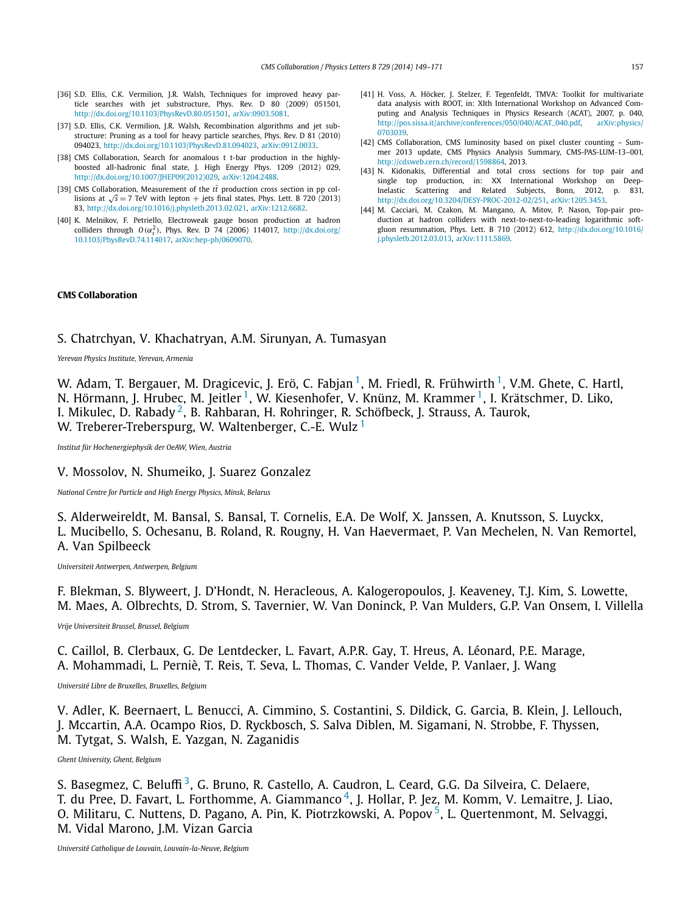- <span id="page-8-0"></span>[36] S.D. Ellis, C.K. Vermilion, J.R. Walsh, Techniques for improved heavy particle searches with jet substructure, Phys. Rev. D 80 (2009) 051501, <http://dx.doi.org/10.1103/PhysRevD.80.051501>, [arXiv:0903.5081](http://arxiv.org/abs/0903.5081).
- [37] S.D. Ellis, C.K. Vermilion, J.R. Walsh, Recombination algorithms and jet substructure: Pruning as a tool for heavy particle searches, Phys. Rev. D 81 (2010) 094023, [http://dx.doi.org/10.1103/PhysRevD.81.094023,](http://dx.doi.org/10.1103/PhysRevD.81.094023) [arXiv:0912.0033.](http://arxiv.org/abs/0912.0033)
- [38] CMS Collaboration, Search for anomalous t t-bar production in the highlyboosted all-hadronic final state, J. High Energy Phys. 1209 (2012) 029, [http://dx.doi.org/10.1007/JHEP09\(2012\)029,](http://dx.doi.org/10.1007/JHEP09(2012)029) [arXiv:1204.2488](http://arxiv.org/abs/1204.2488).
- [39] CMS Collaboration, Measurement of the  $t\bar{t}$  production cross section in pp collisions at  $\sqrt{s}$  = 7 TeV with lepton + jets final states, Phys. Lett. B 720 (2013) 83, <http://dx.doi.org/10.1016/j.physletb.2013.02.021>, [arXiv:1212.6682.](http://arxiv.org/abs/1212.6682)
- [40] K. Melnikov, F. Petriello, Electroweak gauge boson production at hadron colliders through  $O(\alpha_s^2)$ , Phys. Rev. D 74 (2006) 114017, [http://dx.doi.org/](http://dx.doi.org/10.1103/PhysRevD.74.114017) [10.1103/PhysRevD.74.114017](http://dx.doi.org/10.1103/PhysRevD.74.114017), [arXiv:hep-ph/0609070.](http://arxiv.org/abs/hep-ph/0609070)
- [41] H. Voss, A. Höcker, J. Stelzer, F. Tegenfeldt, TMVA: Toolkit for multivariate data analysis with ROOT, in: XIth International Workshop on Advanced Computing and Analysis Techniques in Physics Research (ACAT), 2007, p. 040, [http://pos.sissa.it/archive/conferences/050/040/ACAT\\_040.pdf,](http://pos.sissa.it/archive/conferences/050/040/ACAT_040.pdf) [arXiv:physics/](http://arxiv.org/abs/physics/0703039) [0703039](http://arxiv.org/abs/physics/0703039).
- [42] CMS Collaboration, CMS luminosity based on pixel cluster counting Summer 2013 update, CMS Physics Analysis Summary, CMS-PAS-LUM-13–001, <http://cdsweb.cern.ch/record/1598864>, 2013.
- [43] N. Kidonakis, Differential and total cross sections for top pair and single top production, in: XX International Workshop on Deep-Inelastic Scattering and Related Subjects, Bonn, 2012, p. 831, <http://dx.doi.org/10.3204/DESY-PROC-2012-02/251>, [arXiv:1205.3453.](http://arxiv.org/abs/1205.3453)
- [44] M. Cacciari, M. Czakon, M. Mangano, A. Mitov, P. Nason, Top-pair production at hadron colliders with next-to-next-to-leading logarithmic softgluon resummation, Phys. Lett. B 710 (2012) 612, [http://dx.doi.org/10.1016/](http://dx.doi.org/10.1016/j.physletb.2012.03.013) [j.physletb.2012.03.013](http://dx.doi.org/10.1016/j.physletb.2012.03.013), [arXiv:1111.5869](http://arxiv.org/abs/1111.5869).

### **CMS Collaboration**

# S. Chatrchyan, V. Khachatryan, A.M. Sirunyan, A. Tumasyan

*Yerevan Physics Institute, Yerevan, Armenia*

W. Adam, T. Bergauer, M. Dragicevic, J. Erö, C. Fabjan<sup>1</sup>, M. Friedl, R. Frühwirth<sup>1</sup>, V.M. Ghete, C. Hartl, N. Hörmann, J. Hrubec, M. Jeitler<sup>1</sup>, W. Kiesenhofer, V. Knünz, M. Krammer<sup>1</sup>, I. Krätschmer, D. Liko, I. Mikulec, D. Rabady<sup>2</sup>, B. Rahbaran, H. Rohringer, R. Schöfbeck, J. Strauss, A. Taurok, W. Treberer-Treberspurg, W. Waltenberger, C.-E. Wulz<sup>[1](#page-22-0)</sup>

*Institut für Hochenergiephysik der OeAW, Wien, Austria*

# V. Mossolov, N. Shumeiko, J. Suarez Gonzalez

*National Centre for Particle and High Energy Physics, Minsk, Belarus*

S. Alderweireldt, M. Bansal, S. Bansal, T. Cornelis, E.A. De Wolf, X. Janssen, A. Knutsson, S. Luyckx, L. Mucibello, S. Ochesanu, B. Roland, R. Rougny, H. Van Haevermaet, P. Van Mechelen, N. Van Remortel, A. Van Spilbeeck

*Universiteit Antwerpen, Antwerpen, Belgium*

F. Blekman, S. Blyweert, J. D'Hondt, N. Heracleous, A. Kalogeropoulos, J. Keaveney, T.J. Kim, S. Lowette, M. Maes, A. Olbrechts, D. Strom, S. Tavernier, W. Van Doninck, P. Van Mulders, G.P. Van Onsem, I. Villella

*Vrije Universiteit Brussel, Brussel, Belgium*

C. Caillol, B. Clerbaux, G. De Lentdecker, L. Favart, A.P.R. Gay, T. Hreus, A. Léonard, P.E. Marage, A. Mohammadi, L. Perniè, T. Reis, T. Seva, L. Thomas, C. Vander Velde, P. Vanlaer, J. Wang

*Université Libre de Bruxelles, Bruxelles, Belgium*

V. Adler, K. Beernaert, L. Benucci, A. Cimmino, S. Costantini, S. Dildick, G. Garcia, B. Klein, J. Lellouch, J. Mccartin, A.A. Ocampo Rios, D. Ryckbosch, S. Salva Diblen, M. Sigamani, N. Strobbe, F. Thyssen, M. Tytgat, S. Walsh, E. Yazgan, N. Zaganidis

*Ghent University, Ghent, Belgium*

S. Basegmez, C. Beluffi<sup>3</sup>, G. Bruno, R. Castello, A. Caudron, L. Ceard, G.G. Da Silveira, C. Delaere, T. du Pree, D. Favart, L. Forthomme, A. Giammanco<sup>4</sup>, J. Hollar, P. Jez, M. Komm, V. Lemaitre, J. Liao, O. Militaru, C. Nuttens, D. Pagano, A. Pin, K. Piotrzkowski, A. Popov<sup>5</sup>, L. Quertenmont, M. Selvaggi, M. Vidal Marono, J.M. Vizan Garcia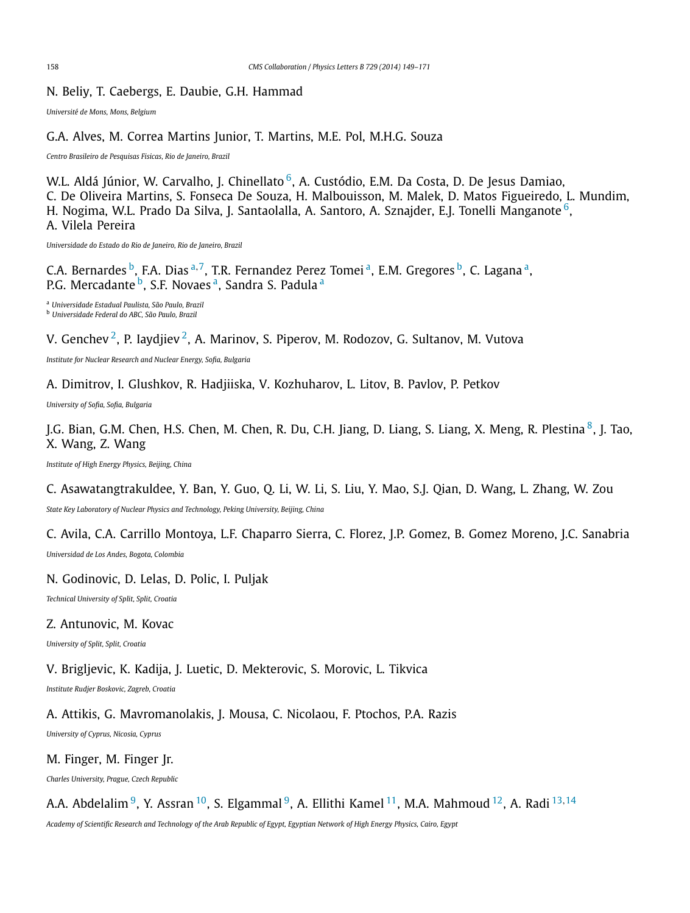# N. Beliy, T. Caebergs, E. Daubie, G.H. Hammad

*Université de Mons, Mons, Belgium*

# G.A. Alves, M. Correa Martins Junior, T. Martins, M.E. Pol, M.H.G. Souza

*Centro Brasileiro de Pesquisas Fisicas, Rio de Janeiro, Brazil*

W.L. Aldá Júnior, W. Carvalho, J. Chinellato<sup>6</sup>, A. Custódio, E.M. Da Costa, D. De Jesus Damiao, C. De Oliveira Martins, S. Fonseca De Souza, H. Malbouisson, M. Malek, D. Matos Figueiredo, L. Mundim, H. Nogima, W.L. Prado Da Silva, J. Santaolalla, A. Santoro, A. Sznajder, E.J. Tonelli Manganote<sup>6</sup>, A. Vilela Pereira

*Universidade do Estado do Rio de Janeiro, Rio de Janeiro, Brazil*

C.A. Bernardes <sup>b</sup>, F.A. Dias <sup>a, 7</sup>, T.R. Fernandez Perez Tomei <sup>a</sup>, E.M. Gregores <sup>b</sup>, C. Lagana <sup>a</sup>, P.G. Mercadante <sup>b</sup>, S.F. Novaes <sup>a</sup>, Sandra S. Padula <sup>a</sup>

<sup>a</sup> *Universidade Estadual Paulista, São Paulo, Brazil* <sup>b</sup> *Universidade Federal do ABC, São Paulo, Brazil*

V. Genchev<sup>[2](#page-22-0)</sup>, P. Iaydiiev<sup>2</sup>, A. Marinov, S. Piperov, M. Rodozov, G. Sultanov, M. Vutova

*Institute for Nuclear Research and Nuclear Energy, Sofia, Bulgaria*

# A. Dimitrov, I. Glushkov, R. Hadjiiska, V. Kozhuharov, L. Litov, B. Pavlov, P. Petkov

*University of Sofia, Sofia, Bulgaria*

J.G. Bian, G.M. Chen, H.S. Chen, M. Chen, R. Du, C.H. Jiang, D. Liang, S. Liang, X. Meng, R. Plestina <sup>8</sup>, J. Tao, X. Wang, Z. Wang

*Institute of High Energy Physics, Beijing, China*

# C. Asawatangtrakuldee, Y. Ban, Y. Guo, Q. Li, W. Li, S. Liu, Y. Mao, S.J. Qian, D. Wang, L. Zhang, W. Zou

*State Key Laboratory of Nuclear Physics and Technology, Peking University, Beijing, China*

# C. Avila, C.A. Carrillo Montoya, L.F. Chaparro Sierra, C. Florez, J.P. Gomez, B. Gomez Moreno, J.C. Sanabria

*Universidad de Los Andes, Bogota, Colombia*

# N. Godinovic, D. Lelas, D. Polic, I. Puljak

*Technical University of Split, Split, Croatia*

# Z. Antunovic, M. Kovac

*University of Split, Split, Croatia*

# V. Brigljevic, K. Kadija, J. Luetic, D. Mekterovic, S. Morovic, L. Tikvica

*Institute Rudjer Boskovic, Zagreb, Croatia*

# A. Attikis, G. Mavromanolakis, J. Mousa, C. Nicolaou, F. Ptochos, P.A. Razis

*University of Cyprus, Nicosia, Cyprus*

# M. Finger, M. Finger Jr.

*Charles University, Prague, Czech Republic*

# A.A. Abdelalim <sup>9</sup>, Y. Assran <sup>10</sup>, S. Elgammal <sup>9</sup>, A. Ellithi Kamel <sup>[11](#page-22-0)</sup>, M.A. Mahmoud <sup>[12](#page-22-0)</sup>, A. Radi <sup>[13](#page-22-0),[14](#page-22-0)</sup>

*Academy of Scientific Research and Technology of the Arab Republic of Egypt, Egyptian Network of High Energy Physics, Cairo, Egypt*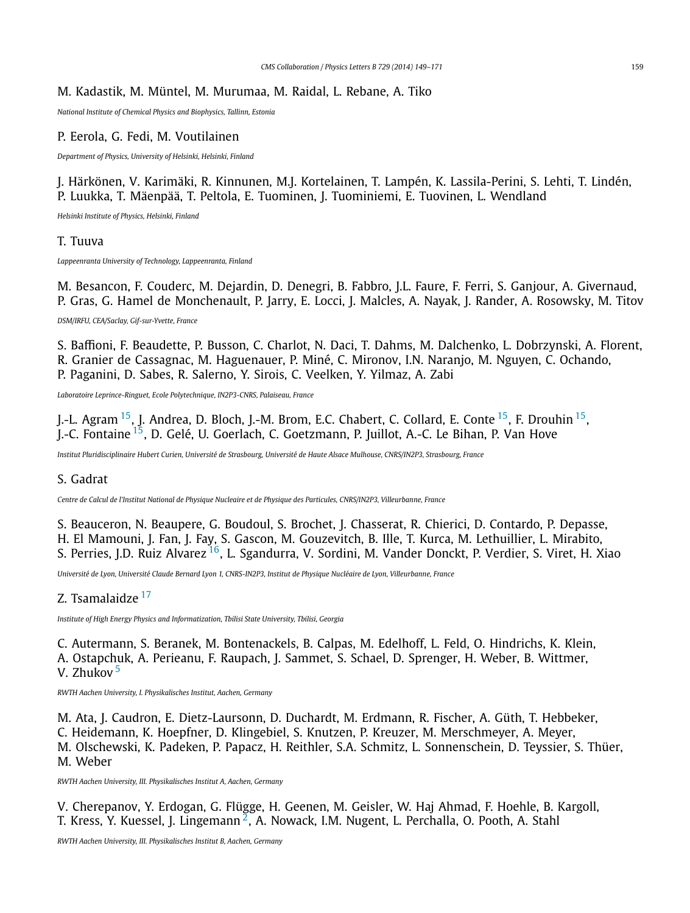# M. Kadastik, M. Müntel, M. Murumaa, M. Raidal, L. Rebane, A. Tiko

*National Institute of Chemical Physics and Biophysics, Tallinn, Estonia*

# P. Eerola, G. Fedi, M. Voutilainen

*Department of Physics, University of Helsinki, Helsinki, Finland*

J. Härkönen, V. Karimäki, R. Kinnunen, M.J. Kortelainen, T. Lampén, K. Lassila-Perini, S. Lehti, T. Lindén, P. Luukka, T. Mäenpää, T. Peltola, E. Tuominen, J. Tuominiemi, E. Tuovinen, L. Wendland

*Helsinki Institute of Physics, Helsinki, Finland*

# T. Tuuva

*Lappeenranta University of Technology, Lappeenranta, Finland*

M. Besancon, F. Couderc, M. Dejardin, D. Denegri, B. Fabbro, J.L. Faure, F. Ferri, S. Ganjour, A. Givernaud, P. Gras, G. Hamel de Monchenault, P. Jarry, E. Locci, J. Malcles, A. Nayak, J. Rander, A. Rosowsky, M. Titov

*DSM/IRFU, CEA/Saclay, Gif-sur-Yvette, France*

S. Baffioni, F. Beaudette, P. Busson, C. Charlot, N. Daci, T. Dahms, M. Dalchenko, L. Dobrzynski, A. Florent, R. Granier de Cassagnac, M. Haguenauer, P. Miné, C. Mironov, I.N. Naranjo, M. Nguyen, C. Ochando, P. Paganini, D. Sabes, R. Salerno, Y. Sirois, C. Veelken, Y. Yilmaz, A. Zabi

*Laboratoire Leprince-Ringuet, Ecole Polytechnique, IN2P3-CNRS, Palaiseau, France*

J.-L. Agram <sup>15</sup>, J. Andrea, D. Bloch, J.-M. Brom, E.C. Chabert, C. Collard, E. Conte <sup>15</sup>, F. Drouhin <sup>15</sup>, J.-C. Fontaine <sup>15</sup>, D. Gelé, U. Goerlach, C. Goetzmann, P. Juillot, A.-C. Le Bihan, P. Van Hove

*Institut Pluridisciplinaire Hubert Curien, Université de Strasbourg, Université de Haute Alsace Mulhouse, CNRS/IN2P3, Strasbourg, France*

# S. Gadrat

*Centre de Calcul de l'Institut National de Physique Nucleaire et de Physique des Particules, CNRS/IN2P3, Villeurbanne, France*

S. Beauceron, N. Beaupere, G. Boudoul, S. Brochet, J. Chasserat, R. Chierici, D. Contardo, P. Depasse, H. El Mamouni, J. Fan, J. Fay, S. Gascon, M. Gouzevitch, B. Ille, T. Kurca, M. Lethuillier, L. Mirabito, S. Perries, J.D. Ruiz Alvarez <sup>16</sup>, L. Sgandurra, V. Sordini, M. Vander Donckt, P. Verdier, S. Viret, H. Xiao

*Université de Lyon, Université Claude Bernard Lyon 1, CNRS-IN2P3, Institut de Physique Nucléaire de Lyon, Villeurbanne, France*

# Z. Tsamalaidze<sup>[17](#page-22-0)</sup>

*Institute of High Energy Physics and Informatization, Tbilisi State University, Tbilisi, Georgia*

C. Autermann, S. Beranek, M. Bontenackels, B. Calpas, M. Edelhoff, L. Feld, O. Hindrichs, K. Klein, A. Ostapchuk, A. Perieanu, F. Raupach, J. Sammet, S. Schael, D. Sprenger, H. Weber, B. Wittmer, V. Zhukov [5](#page-22-0)

*RWTH Aachen University, I. Physikalisches Institut, Aachen, Germany*

M. Ata, J. Caudron, E. Dietz-Laursonn, D. Duchardt, M. Erdmann, R. Fischer, A. Güth, T. Hebbeker, C. Heidemann, K. Hoepfner, D. Klingebiel, S. Knutzen, P. Kreuzer, M. Merschmeyer, A. Meyer, M. Olschewski, K. Padeken, P. Papacz, H. Reithler, S.A. Schmitz, L. Sonnenschein, D. Teyssier, S. Thüer, M. Weber

*RWTH Aachen University, III. Physikalisches Institut A, Aachen, Germany*

V. Cherepanov, Y. Erdogan, G. Flügge, H. Geenen, M. Geisler, W. Haj Ahmad, F. Hoehle, B. Kargoll, T. Kress, Y. Kuessel, J. Lingemann<sup>2</sup>, A. Nowack, I.M. Nugent, L. Perchalla, O. Pooth, A. Stahl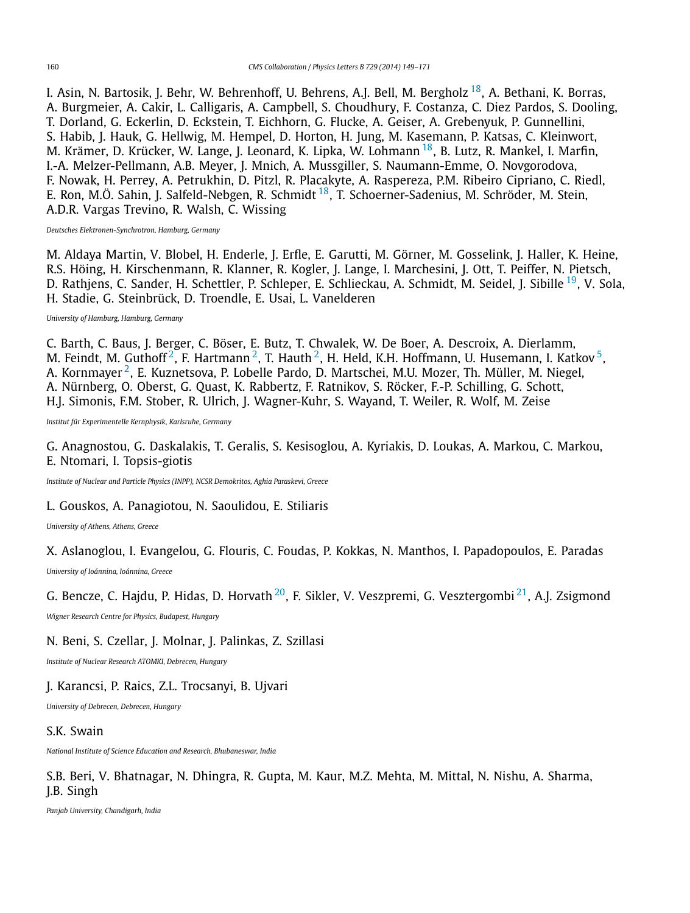I. Asin, N. Bartosik, J. Behr, W. Behrenhoff, U. Behrens, A.J. Bell, M. Bergholz [18](#page-22-0), A. Bethani, K. Borras, A. Burgmeier, A. Cakir, L. Calligaris, A. Campbell, S. Choudhury, F. Costanza, C. Diez Pardos, S. Dooling, T. Dorland, G. Eckerlin, D. Eckstein, T. Eichhorn, G. Flucke, A. Geiser, A. Grebenyuk, P. Gunnellini, S. Habib, J. Hauk, G. Hellwig, M. Hempel, D. Horton, H. Jung, M. Kasemann, P. Katsas, C. Kleinwort, M. Krämer, D. Krücker, W. Lange, J. Leonard, K. Lipka, W. Lohmann [18](#page-22-0), B. Lutz, R. Mankel, I. Marfin, I.-A. Melzer-Pellmann, A.B. Meyer, J. Mnich, A. Mussgiller, S. Naumann-Emme, O. Novgorodova, F. Nowak, H. Perrey, A. Petrukhin, D. Pitzl, R. Placakyte, A. Raspereza, P.M. Ribeiro Cipriano, C. Riedl, E. Ron, M.Ö. Sahin, J. Salfeld-Nebgen, R. Schmidt [18,](#page-22-0) T. Schoerner-Sadenius, M. Schröder, M. Stein, A.D.R. Vargas Trevino, R. Walsh, C. Wissing

*Deutsches Elektronen-Synchrotron, Hamburg, Germany*

M. Aldaya Martin, V. Blobel, H. Enderle, J. Erfle, E. Garutti, M. Görner, M. Gosselink, J. Haller, K. Heine, R.S. Höing, H. Kirschenmann, R. Klanner, R. Kogler, J. Lange, I. Marchesini, J. Ott, T. Peiffer, N. Pietsch, D. Rathjens, C. Sander, H. Schettler, P. Schleper, E. Schlieckau, A. Schmidt, M. Seidel, J. Sibille [19,](#page-22-0) V. Sola, H. Stadie, G. Steinbrück, D. Troendle, E. Usai, L. Vanelderen

*University of Hamburg, Hamburg, Germany*

C. Barth, C. Baus, J. Berger, C. Böser, E. Butz, T. Chwalek, W. De Boer, A. Descroix, A. Dierlamm, M. Feindt, M. Guthoff<sup>2</sup>, F. Hartmann<sup>2</sup>, T. Hauth<sup>2</sup>, H. Held, K.H. Hoffmann, U. Husemann, I. Katkov<sup>5</sup>, A. Kornmayer [2,](#page-22-0) E. Kuznetsova, P. Lobelle Pardo, D. Martschei, M.U. Mozer, Th. Müller, M. Niegel, A. Nürnberg, O. Oberst, G. Quast, K. Rabbertz, F. Ratnikov, S. Röcker, F.-P. Schilling, G. Schott, H.J. Simonis, F.M. Stober, R. Ulrich, J. Wagner-Kuhr, S. Wayand, T. Weiler, R. Wolf, M. Zeise

*Institut für Experimentelle Kernphysik, Karlsruhe, Germany*

G. Anagnostou, G. Daskalakis, T. Geralis, S. Kesisoglou, A. Kyriakis, D. Loukas, A. Markou, C. Markou, E. Ntomari, I. Topsis-giotis

*Institute of Nuclear and Particle Physics (INPP), NCSR Demokritos, Aghia Paraskevi, Greece*

# L. Gouskos, A. Panagiotou, N. Saoulidou, E. Stiliaris

*University of Athens, Athens, Greece*

X. Aslanoglou, I. Evangelou, G. Flouris, C. Foudas, P. Kokkas, N. Manthos, I. Papadopoulos, E. Paradas

*University of Ioánnina, Ioánnina, Greece*

G. Bencze, C. Hajdu, P. Hidas, D. Horvath [20](#page-22-0), F. Sikler, V. Veszpremi, G. Vesztergombi [21,](#page-22-0) A.J. Zsigmond

*Wigner Research Centre for Physics, Budapest, Hungary*

N. Beni, S. Czellar, J. Molnar, J. Palinkas, Z. Szillasi

*Institute of Nuclear Research ATOMKI, Debrecen, Hungary*

# J. Karancsi, P. Raics, Z.L. Trocsanyi, B. Ujvari

*University of Debrecen, Debrecen, Hungary*

# S.K. Swain

*National Institute of Science Education and Research, Bhubaneswar, India*

# S.B. Beri, V. Bhatnagar, N. Dhingra, R. Gupta, M. Kaur, M.Z. Mehta, M. Mittal, N. Nishu, A. Sharma, J.B. Singh

*Panjab University, Chandigarh, India*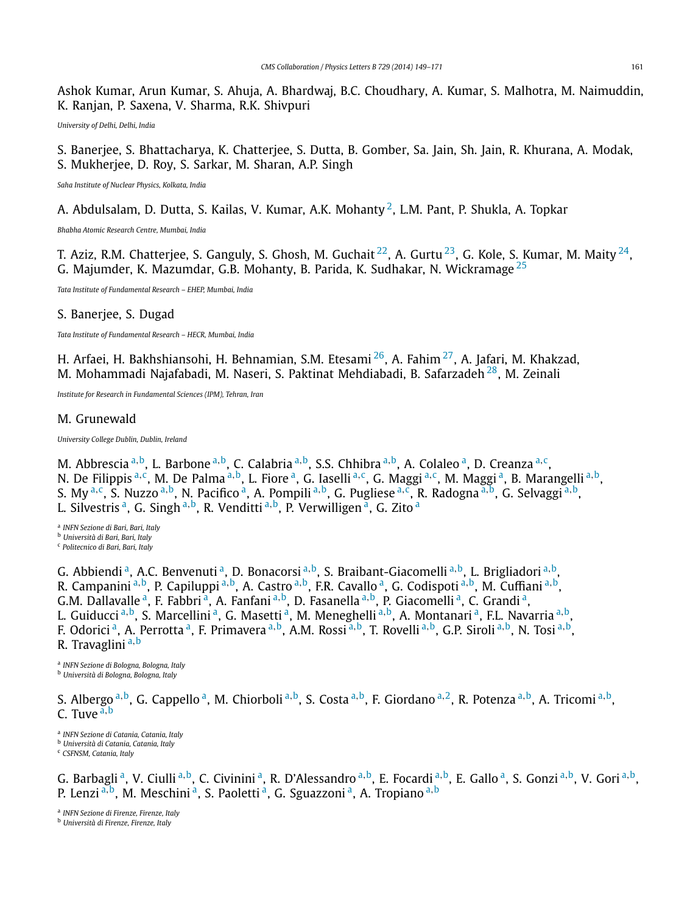Ashok Kumar, Arun Kumar, S. Ahuja, A. Bhardwaj, B.C. Choudhary, A. Kumar, S. Malhotra, M. Naimuddin, K. Ranjan, P. Saxena, V. Sharma, R.K. Shivpuri

*University of Delhi, Delhi, India*

S. Banerjee, S. Bhattacharya, K. Chatterjee, S. Dutta, B. Gomber, Sa. Jain, Sh. Jain, R. Khurana, A. Modak, S. Mukherjee, D. Roy, S. Sarkar, M. Sharan, A.P. Singh

*Saha Institute of Nuclear Physics, Kolkata, India*

A. Abdulsalam, D. Dutta, S. Kailas, V. Kumar, A.K. Mohanty [2](#page-22-0), L.M. Pant, P. Shukla, A. Topkar

*Bhabha Atomic Research Centre, Mumbai, India*

T. Aziz, R.M. Chatterjee, S. Ganguly, S. Ghosh, M. Guchait  $^{22}$ , A. Gurtu  $^{23}$ , G. Kole, S. Kumar, M. Maity  $^{24}$ , G. Majumder, K. Mazumdar, G.B. Mohanty, B. Parida, K. Sudhakar, N. Wickramage [25](#page-22-0)

*Tata Institute of Fundamental Research – EHEP, Mumbai, India*

# S. Banerjee, S. Dugad

*Tata Institute of Fundamental Research – HECR, Mumbai, India*

H. Arfaei, H. Bakhshiansohi, H. Behnamian, S.M. Etesami <sup>26</sup>, A. Fahim <sup>27</sup>, A. Jafari, M. Khakzad, M. Mohammadi Najafabadi, M. Naseri, S. Paktinat Mehdiabadi, B. Safarzadeh [28,](#page-22-0) M. Zeinali

*Institute for Research in Fundamental Sciences (IPM), Tehran, Iran*

# M. Grunewald

*University College Dublin, Dublin, Ireland*

M. Abbrescia <sup>a</sup>*,*b, L. Barbone <sup>a</sup>*,*b, C. Calabria <sup>a</sup>*,*b, S.S. Chhibra <sup>a</sup>*,*b, A. Colaleo a, D. Creanza <sup>a</sup>*,*c, N. De Filippis <sup>a</sup>*,*c, M. De Palma <sup>a</sup>*,*b, L. Fiore a, G. Iaselli <sup>a</sup>*,*c, G. Maggi <sup>a</sup>*,*c, M. Maggi a, B. Marangelli <sup>a</sup>*,*b, S. My <sup>a</sup>*,*c, S. Nuzzo <sup>a</sup>*,*b, N. Pacifico a, A. Pompili <sup>a</sup>*,*b, G. Pugliese <sup>a</sup>*,*c, R. Radogna <sup>a</sup>*,*b, G. Selvaggi <sup>a</sup>*,*b, L. Silvestris a, G. Singh <sup>a</sup>*,*b, R. Venditti <sup>a</sup>*,*b, P. Verwilligen a, G. Zito <sup>a</sup>

<sup>a</sup> *INFN Sezione di Bari, Bari, Italy*

<sup>b</sup> *Università di Bari, Bari, Italy*

<sup>c</sup> *Politecnico di Bari, Bari, Italy*

G. Abbiendi a, A.C. Benvenuti a, D. Bonacorsi <sup>a</sup>*,*b, S. Braibant-Giacomelli <sup>a</sup>*,*b, L. Brigliadori <sup>a</sup>*,*b, R. Campanini <sup>a</sup>*,*b, P. Capiluppi <sup>a</sup>*,*b, A. Castro <sup>a</sup>*,*b, F.R. Cavallo a, G. Codispoti <sup>a</sup>*,*b, M. Cuffiani <sup>a</sup>*,*b, G.M. Dallavalle a, F. Fabbri a, A. Fanfani <sup>a</sup>*,*b, D. Fasanella <sup>a</sup>*,*b, P. Giacomelli a, C. Grandi a, L. Guiducci <sup>a</sup>*,*b, S. Marcellini a, G. Masetti a, M. Meneghelli <sup>a</sup>*,*b, A. Montanari a, F.L. Navarria <sup>a</sup>*,*b, F. Odorici a, A. Perrotta a, F. Primavera <sup>a</sup>*,*b, A.M. Rossi <sup>a</sup>*,*b, T. Rovelli <sup>a</sup>*,*b, G.P. Siroli <sup>a</sup>*,*b, N. Tosi <sup>a</sup>*,*b, R. Travaglini <sup>a</sup>*,*<sup>b</sup>

<sup>a</sup> *INFN Sezione di Bologna, Bologna, Italy* <sup>b</sup> *Università di Bologna, Bologna, Italy*

S. Albergo <sup>a</sup>*,*b, G. Cappello a, M. Chiorboli <sup>a</sup>*,*b, S. Costa <sup>a</sup>*,*b, F. Giordano <sup>a</sup>*,*[2,](#page-22-0) R. Potenza <sup>a</sup>*,*b, A. Tricomi <sup>a</sup>*,*b, C. Tuve <sup>a</sup>*,*<sup>b</sup>

<sup>a</sup> *INFN Sezione di Catania, Catania, Italy*

<sup>b</sup> *Università di Catania, Catania, Italy*

<sup>c</sup> *CSFNSM, Catania, Italy*

G. Barbagli<sup>a</sup>, V. Ciulli<sup>a,b</sup>, C. Civinini<sup>a</sup>, R. D'Alessandro<sup>a,b</sup>, E. Focardi<sup>a,b</sup>, E. Gallo<sup>a</sup>, S. Gonzi<sup>a,b</sup>, V. Gori<sup>a,b</sup>, P. Lenzi<sup>a,b</sup>, M. Meschini<sup>a</sup>, S. Paoletti<sup>a</sup>, G. Sguazzoni<sup>a</sup>, A. Tropiano<sup>a,b</sup>

<sup>a</sup> *INFN Sezione di Firenze, Firenze, Italy*

<sup>b</sup> *Università di Firenze, Firenze, Italy*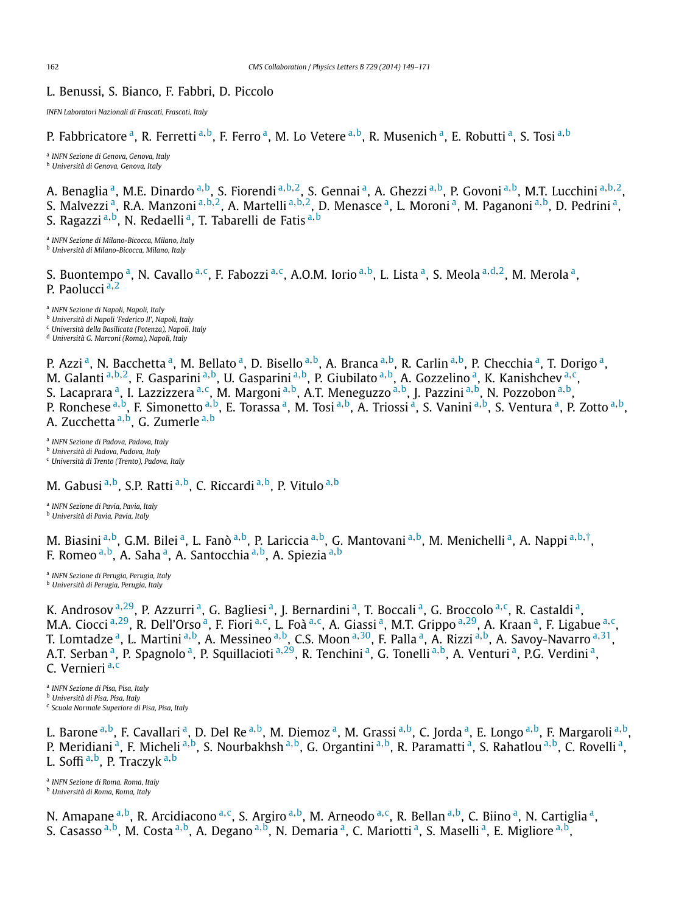# L. Benussi, S. Bianco, F. Fabbri, D. Piccolo

*INFN Laboratori Nazionali di Frascati, Frascati, Italy*

# P. Fabbricatore a, R. Ferretti <sup>a</sup>*,*b, F. Ferro a, M. Lo Vetere <sup>a</sup>*,*b, R. Musenich a, E. Robutti a, S. Tosi <sup>a</sup>*,*<sup>b</sup>

<sup>a</sup> *INFN Sezione di Genova, Genova, Italy* <sup>b</sup> *Università di Genova, Genova, Italy*

A. Benaglia a, M.E. Dinardo <sup>a</sup>*,*b, S. Fiorendi <sup>a</sup>*,*b*,*[2,](#page-22-0) S. Gennai a, A. Ghezzi <sup>a</sup>*,*b, P. Govoni <sup>a</sup>*,*b, M.T. Lucchini <sup>a</sup>*,*b*,*[2,](#page-22-0) S. Malvezzi a, R.A. Manzoni <sup>a</sup>*,*b*,*[2,](#page-22-0) A. Martelli <sup>a</sup>*,*b*,*[2,](#page-22-0) D. Menasce a, L. Moroni a, M. Paganoni <sup>a</sup>*,*b, D. Pedrini a, S. Ragazzi <sup>a</sup>*,*b, N. Redaelli a, T. Tabarelli de Fatis <sup>a</sup>*,*<sup>b</sup>

<sup>a</sup> *INFN Sezione di Milano-Bicocca, Milano, Italy*

<sup>b</sup> *Università di Milano-Bicocca, Milano, Italy*

S. Buontempo a, N. Cavallo <sup>a</sup>*,*c, F. Fabozzi <sup>a</sup>*,*c, A.O.M. Iorio <sup>a</sup>*,*b, L. Lista a, S. Meola <sup>a</sup>*,*d*,*[2,](#page-22-0) M. Merola a, P. Paolucci <sup>a</sup>*,*[2](#page-22-0)

<sup>a</sup> *INFN Sezione di Napoli, Napoli, Italy*

<sup>b</sup> *Università di Napoli 'Federico II', Napoli, Italy*

<sup>c</sup> *Università della Basilicata (Potenza), Napoli, Italy*

<sup>d</sup> *Università G. Marconi (Roma), Napoli, Italy*

P. Azzi<sup>a</sup>, N. Bacchetta<sup>a</sup>, M. Bellato<sup>a</sup>, D. Bisello<sup>a,b</sup>, A. Branca<sup>a,b</sup>, R. Carlin<sup>a,b</sup>, P. Checchia<sup>a</sup>, T. Dorigo<sup>a</sup>, M. Galanti <sup>a</sup>*,*b*,*[2,](#page-22-0) F. Gasparini <sup>a</sup>*,*b, U. Gasparini <sup>a</sup>*,*b, P. Giubilato <sup>a</sup>*,*b, A. Gozzelino a, K. Kanishchev <sup>a</sup>*,*c, S. Lacaprara a, I. Lazzizzera <sup>a</sup>*,*c, M. Margoni <sup>a</sup>*,*b, A.T. Meneguzzo <sup>a</sup>*,*b, J. Pazzini <sup>a</sup>*,*b, N. Pozzobon <sup>a</sup>*,*b, P. Ronchese <sup>a</sup>*,*b, F. Simonetto <sup>a</sup>*,*b, E. Torassa a, M. Tosi <sup>a</sup>*,*b, A. Triossi a, S. Vanini <sup>a</sup>*,*b, S. Ventura a, P. Zotto <sup>a</sup>*,*b, A. Zucchetta <sup>a</sup>*,*b, G. Zumerle <sup>a</sup>*,*<sup>b</sup>

<sup>a</sup> *INFN Sezione di Padova, Padova, Italy*

<sup>b</sup> *Università di Padova, Padova, Italy*

<sup>c</sup> *Università di Trento (Trento), Padova, Italy*

M. Gabusi <sup>a</sup>*,*b, S.P. Ratti <sup>a</sup>*,*b, C. Riccardi <sup>a</sup>*,*b, P. Vitulo <sup>a</sup>*,*<sup>b</sup>

<sup>a</sup> *INFN Sezione di Pavia, Pavia, Italy* <sup>b</sup> *Università di Pavia, Pavia, Italy*

M. Biasini <sup>a</sup>*,*b, G.M. Bilei a, L. Fanò <sup>a</sup>*,*b, P. Lariccia <sup>a</sup>*,*b, G. Mantovani <sup>a</sup>*,*b, M. Menichelli a, A. Nappi <sup>a</sup>*,*b*,*[†,](#page-22-0) F. Romeo <sup>a</sup>*,*b, A. Saha a, A. Santocchia <sup>a</sup>*,*b, A. Spiezia <sup>a</sup>*,*<sup>b</sup>

<sup>a</sup> *INFN Sezione di Perugia, Perugia, Italy* <sup>b</sup> *Università di Perugia, Perugia, Italy*

K. Androsov<sup>a, 29</sup>, P. Azzurri<sup>a</sup>, G. Bagliesi<sup>a</sup>, J. Bernardini<sup>a</sup>, T. Boccali<sup>a</sup>, G. Broccolo<sup>a, c</sup>, R. Castaldi<sup>a</sup>, M.A. Ciocci <sup>a</sup>*,*[29,](#page-22-0) R. Dell'Orso a, F. Fiori <sup>a</sup>*,*c, L. Foà <sup>a</sup>*,*c, A. Giassi a, M.T. Grippo <sup>a</sup>*,*[29,](#page-22-0) A. Kraan a, F. Ligabue <sup>a</sup>*,*c, T. Lomtadze a, L. Martini <sup>a</sup>*,*b, A. Messineo <sup>a</sup>*,*b, C.S. Moon <sup>a</sup>*,*[30,](#page-22-0) F. Palla a, A. Rizzi <sup>a</sup>*,*b, A. Savoy-Navarro <sup>a</sup>*,*[31,](#page-22-0) A.T. Serban<sup>a</sup>, P. Spagnolo<sup>a</sup>, P. Squillacioti<sup>a, 29</sup>, R. Tenchini<sup>a</sup>, G. Tonelli<sup>a, b</sup>, A. Venturi<sup>a</sup>, P.G. Verdini<sup>a</sup>, C. Vernieri <sup>a</sup>*,*<sup>c</sup>

<sup>a</sup> *INFN Sezione di Pisa, Pisa, Italy*

<sup>b</sup> *Università di Pisa, Pisa, Italy*

<sup>c</sup> *Scuola Normale Superiore di Pisa, Pisa, Italy*

L. Barone <sup>a</sup>*,*b, F. Cavallari a, D. Del Re <sup>a</sup>*,*b, M. Diemoz a, M. Grassi <sup>a</sup>*,*b, C. Jorda a, E. Longo <sup>a</sup>*,*b, F. Margaroli <sup>a</sup>*,*b, P. Meridiani a, F. Micheli <sup>a</sup>*,*b, S. Nourbakhsh <sup>a</sup>*,*b, G. Organtini <sup>a</sup>*,*b, R. Paramatti a, S. Rahatlou <sup>a</sup>*,*b, C. Rovelli a, L. Soffi <sup>a</sup>*,*b, P. Traczyk <sup>a</sup>*,*<sup>b</sup>

<sup>a</sup> *INFN Sezione di Roma, Roma, Italy* <sup>b</sup> *Università di Roma, Roma, Italy*

N. Amapane [a](#page-14-0)*,*[b,](#page-14-0) R. Arcidiacono [a](#page-14-0)*,*[c,](#page-14-0) S. Argiro [a](#page-14-0)*,*[b,](#page-14-0) M. Arneodo [a](#page-14-0)*,*[c,](#page-14-0) R. Bellan [a](#page-14-0)*,*[b,](#page-14-0) C. Biino [a,](#page-14-0) N. Cartiglia [a,](#page-14-0) S. Casasso [a](#page-14-0)*,*[b,](#page-14-0) M. Costa [a](#page-14-0)*,*[b,](#page-14-0) A. Degano [a](#page-14-0)*,*[b,](#page-14-0) N. Demaria [a,](#page-14-0) C. Mariotti [a,](#page-14-0) S. Maselli [a,](#page-14-0) E. Migliore [a](#page-14-0)*,*[b](#page-14-0),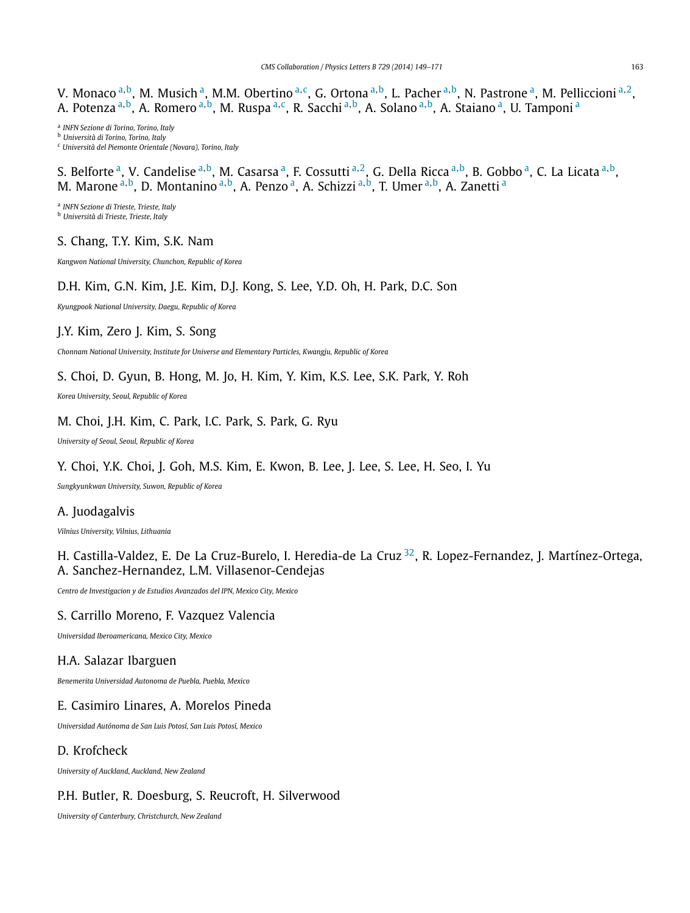<span id="page-14-0"></span>V. Monaco <sup>a</sup>*,*b, M. Musich a, M.M. Obertino <sup>a</sup>*,*c, G. Ortona <sup>a</sup>*,*b, L. Pacher <sup>a</sup>*,*b, N. Pastrone a, M. Pelliccioni <sup>a</sup>*,*[2,](#page-22-0) A. Potenza <sup>a</sup>*,*b, A. Romero <sup>a</sup>*,*b, M. Ruspa <sup>a</sup>*,*c, R. Sacchi <sup>a</sup>*,*b, A. Solano <sup>a</sup>*,*b, A. Staiano a, U. Tamponi <sup>a</sup>

<sup>a</sup> *INFN Sezione di Torino, Torino, Italy*

<sup>b</sup> *Università di Torino, Torino, Italy*

<sup>c</sup> *Università del Piemonte Orientale (Novara), Torino, Italy*

S. Belforte a, V. Candelise <sup>a</sup>*,*b, M. Casarsa a, F. Cossutti <sup>a</sup>*,*[2,](#page-22-0) G. Della Ricca <sup>a</sup>*,*b, B. Gobbo a, C. La Licata <sup>a</sup>*,*b, M. Marone <sup>a</sup>*,*b, D. Montanino <sup>a</sup>*,*b, A. Penzo a, A. Schizzi <sup>a</sup>*,*b, T. Umer <sup>a</sup>*,*b, A. Zanetti <sup>a</sup>

<sup>a</sup> *INFN Sezione di Trieste, Trieste, Italy* <sup>b</sup> *Università di Trieste, Trieste, Italy*

# S. Chang, T.Y. Kim, S.K. Nam

*Kangwon National University, Chunchon, Republic of Korea*

# D.H. Kim, G.N. Kim, J.E. Kim, D.J. Kong, S. Lee, Y.D. Oh, H. Park, D.C. Son

*Kyungpook National University, Daegu, Republic of Korea*

# J.Y. Kim, Zero J. Kim, S. Song

*Chonnam National University, Institute for Universe and Elementary Particles, Kwangju, Republic of Korea*

S. Choi, D. Gyun, B. Hong, M. Jo, H. Kim, Y. Kim, K.S. Lee, S.K. Park, Y. Roh

*Korea University, Seoul, Republic of Korea*

# M. Choi, J.H. Kim, C. Park, I.C. Park, S. Park, G. Ryu

*University of Seoul, Seoul, Republic of Korea*

# Y. Choi, Y.K. Choi, J. Goh, M.S. Kim, E. Kwon, B. Lee, J. Lee, S. Lee, H. Seo, I. Yu

*Sungkyunkwan University, Suwon, Republic of Korea*

# A. Juodagalvis

*Vilnius University, Vilnius, Lithuania*

# H. Castilla-Valdez, E. De La Cruz-Burelo, I. Heredia-de La Cruz<sup>32</sup>, R. Lopez-Fernandez, J. Martínez-Ortega, A. Sanchez-Hernandez, L.M. Villasenor-Cendejas

*Centro de Investigacion y de Estudios Avanzados del IPN, Mexico City, Mexico*

# S. Carrillo Moreno, F. Vazquez Valencia

*Universidad Iberoamericana, Mexico City, Mexico*

# H.A. Salazar Ibarguen

*Benemerita Universidad Autonoma de Puebla, Puebla, Mexico*

# E. Casimiro Linares, A. Morelos Pineda

*Universidad Autónoma de San Luis Potosí, San Luis Potosí, Mexico*

# D. Krofcheck

*University of Auckland, Auckland, New Zealand*

# P.H. Butler, R. Doesburg, S. Reucroft, H. Silverwood

*University of Canterbury, Christchurch, New Zealand*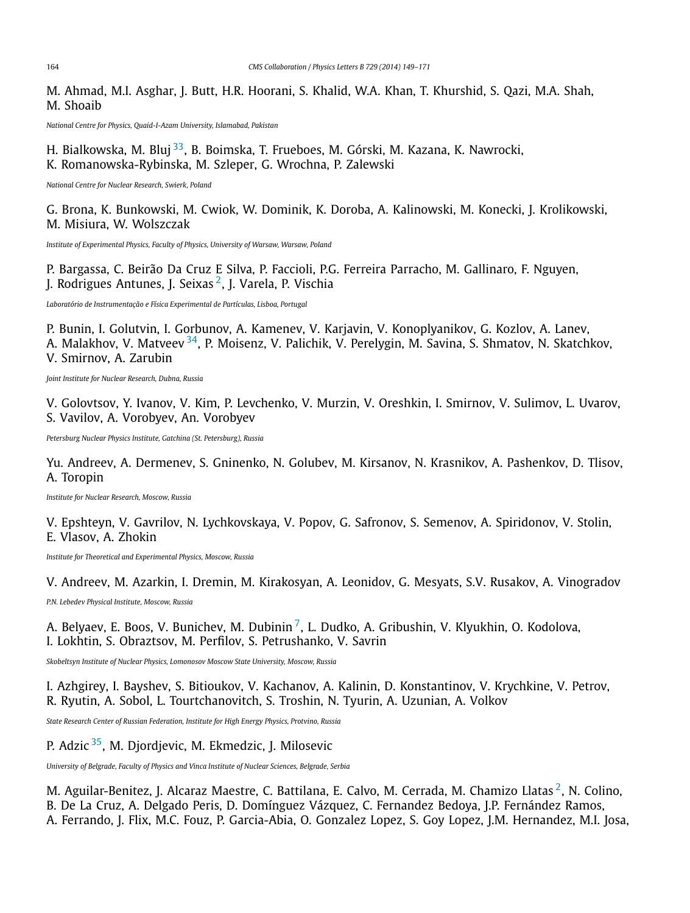M. Ahmad, M.I. Asghar, J. Butt, H.R. Hoorani, S. Khalid, W.A. Khan, T. Khurshid, S. Qazi, M.A. Shah, M. Shoaib

*National Centre for Physics, Quaid-I-Azam University, Islamabad, Pakistan*

H. Bialkowska, M. Bluj<sup>33</sup>, B. Boimska, T. Frueboes, M. Górski, M. Kazana, K. Nawrocki, K. Romanowska-Rybinska, M. Szleper, G. Wrochna, P. Zalewski

*National Centre for Nuclear Research, Swierk, Poland*

G. Brona, K. Bunkowski, M. Cwiok, W. Dominik, K. Doroba, A. Kalinowski, M. Konecki, J. Krolikowski, M. Misiura, W. Wolszczak

*Institute of Experimental Physics, Faculty of Physics, University of Warsaw, Warsaw, Poland*

P. Bargassa, C. Beirão Da Cruz E Silva, P. Faccioli, P.G. Ferreira Parracho, M. Gallinaro, F. Nguyen, J. Rodrigues Antunes, J. Seixas [2,](#page-22-0) J. Varela, P. Vischia

*Laboratório de Instrumentação e Física Experimental de Partículas, Lisboa, Portugal*

P. Bunin, I. Golutvin, I. Gorbunov, A. Kamenev, V. Karjavin, V. Konoplyanikov, G. Kozlov, A. Lanev, A. Malakhov, V. Matveev<sup>34</sup>, P. Moisenz, V. Palichik, V. Perelygin, M. Savina, S. Shmatov, N. Skatchkov, V. Smirnov, A. Zarubin

*Joint Institute for Nuclear Research, Dubna, Russia*

V. Golovtsov, Y. Ivanov, V. Kim, P. Levchenko, V. Murzin, V. Oreshkin, I. Smirnov, V. Sulimov, L. Uvarov, S. Vavilov, A. Vorobyev, An. Vorobyev

*Petersburg Nuclear Physics Institute, Gatchina (St. Petersburg), Russia*

Yu. Andreev, A. Dermenev, S. Gninenko, N. Golubev, M. Kirsanov, N. Krasnikov, A. Pashenkov, D. Tlisov, A. Toropin

*Institute for Nuclear Research, Moscow, Russia*

V. Epshteyn, V. Gavrilov, N. Lychkovskaya, V. Popov, G. Safronov, S. Semenov, A. Spiridonov, V. Stolin, E. Vlasov, A. Zhokin

*Institute for Theoretical and Experimental Physics, Moscow, Russia*

V. Andreev, M. Azarkin, I. Dremin, M. Kirakosyan, A. Leonidov, G. Mesyats, S.V. Rusakov, A. Vinogradov

*P.N. Lebedev Physical Institute, Moscow, Russia*

A. Belyaev, E. Boos, V. Bunichev, M. Dubinin [7,](#page-22-0) L. Dudko, A. Gribushin, V. Klyukhin, O. Kodolova, I. Lokhtin, S. Obraztsov, M. Perfilov, S. Petrushanko, V. Savrin

*Skobeltsyn Institute of Nuclear Physics, Lomonosov Moscow State University, Moscow, Russia*

I. Azhgirey, I. Bayshev, S. Bitioukov, V. Kachanov, A. Kalinin, D. Konstantinov, V. Krychkine, V. Petrov, R. Ryutin, A. Sobol, L. Tourtchanovitch, S. Troshin, N. Tyurin, A. Uzunian, A. Volkov

*State Research Center of Russian Federation, Institute for High Energy Physics, Protvino, Russia*

# P. Adzic [35,](#page-22-0) M. Djordjevic, M. Ekmedzic, J. Milosevic

*University of Belgrade, Faculty of Physics and Vinca Institute of Nuclear Sciences, Belgrade, Serbia*

M. Aguilar-Benitez, J. Alcaraz Maestre, C. Battilana, E. Calvo, M. Cerrada, M. Chamizo Llatas<sup>2</sup>, N. Colino, B. De La Cruz, A. Delgado Peris, D. Domínguez Vázquez, C. Fernandez Bedoya, J.P. Fernández Ramos, A. Ferrando, J. Flix, M.C. Fouz, P. Garcia-Abia, O. Gonzalez Lopez, S. Goy Lopez, J.M. Hernandez, M.I. Josa,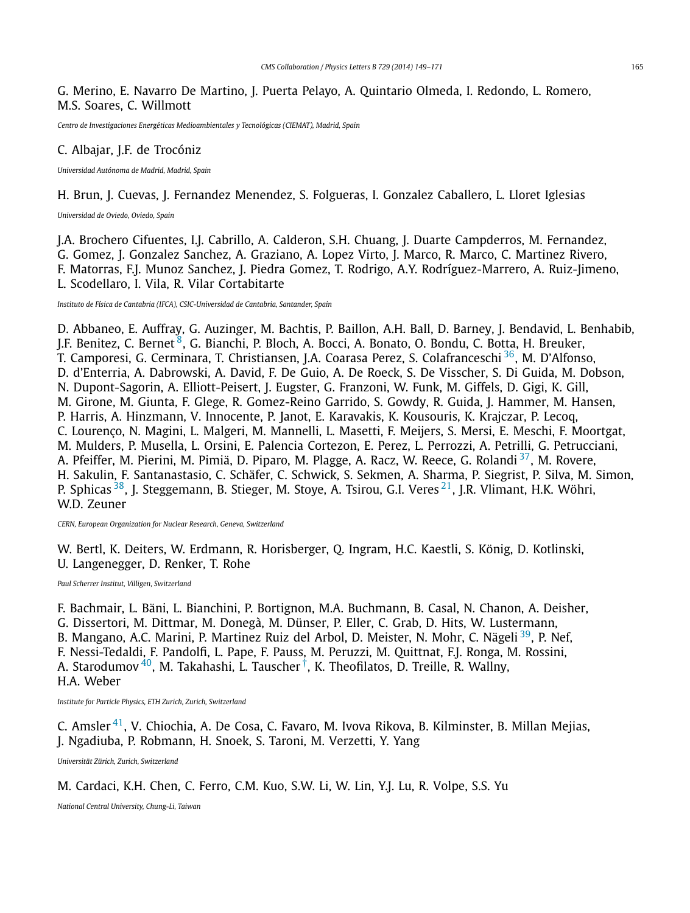# G. Merino, E. Navarro De Martino, J. Puerta Pelayo, A. Quintario Olmeda, I. Redondo, L. Romero, M.S. Soares, C. Willmott

*Centro de Investigaciones Energéticas Medioambientales y Tecnológicas (CIEMAT), Madrid, Spain*

# C. Albajar, J.F. de Trocóniz

*Universidad Autónoma de Madrid, Madrid, Spain*

H. Brun, J. Cuevas, J. Fernandez Menendez, S. Folgueras, I. Gonzalez Caballero, L. Lloret Iglesias

*Universidad de Oviedo, Oviedo, Spain*

J.A. Brochero Cifuentes, I.J. Cabrillo, A. Calderon, S.H. Chuang, J. Duarte Campderros, M. Fernandez, G. Gomez, J. Gonzalez Sanchez, A. Graziano, A. Lopez Virto, J. Marco, R. Marco, C. Martinez Rivero, F. Matorras, F.J. Munoz Sanchez, J. Piedra Gomez, T. Rodrigo, A.Y. Rodríguez-Marrero, A. Ruiz-Jimeno, L. Scodellaro, I. Vila, R. Vilar Cortabitarte

*Instituto de Física de Cantabria (IFCA), CSIC-Universidad de Cantabria, Santander, Spain*

D. Abbaneo, E. Auffray, G. Auzinger, M. Bachtis, P. Baillon, A.H. Ball, D. Barney, J. Bendavid, L. Benhabib, J.F. Benitez, C. Bernet <sup>8</sup>, G. Bianchi, P. Bloch, A. Bocci, A. Bonato, O. Bondu, C. Botta, H. Breuker, T. Camporesi, G. Cerminara, T. Christiansen, J.A. Coarasa Perez, S. Colafranceschi [36,](#page-22-0) M. D'Alfonso, D. d'Enterria, A. Dabrowski, A. David, F. De Guio, A. De Roeck, S. De Visscher, S. Di Guida, M. Dobson, N. Dupont-Sagorin, A. Elliott-Peisert, J. Eugster, G. Franzoni, W. Funk, M. Giffels, D. Gigi, K. Gill, M. Girone, M. Giunta, F. Glege, R. Gomez-Reino Garrido, S. Gowdy, R. Guida, J. Hammer, M. Hansen, P. Harris, A. Hinzmann, V. Innocente, P. Janot, E. Karavakis, K. Kousouris, K. Krajczar, P. Lecoq, C. Lourenço, N. Magini, L. Malgeri, M. Mannelli, L. Masetti, F. Meijers, S. Mersi, E. Meschi, F. Moortgat, M. Mulders, P. Musella, L. Orsini, E. Palencia Cortezon, E. Perez, L. Perrozzi, A. Petrilli, G. Petrucciani, A. Pfeiffer, M. Pierini, M. Pimiä, D. Piparo, M. Plagge, A. Racz, W. Reece, G. Rolandi<sup>37</sup>, M. Rovere, H. Sakulin, F. Santanastasio, C. Schäfer, C. Schwick, S. Sekmen, A. Sharma, P. Siegrist, P. Silva, M. Simon, P. Sphicas<sup>38</sup>, J. Steggemann, B. Stieger, M. Stoye, A. Tsirou, G.I. Veres<sup>21</sup>, J.R. Vlimant, H.K. Wöhri, W.D. Zeuner

*CERN, European Organization for Nuclear Research, Geneva, Switzerland*

W. Bertl, K. Deiters, W. Erdmann, R. Horisberger, Q. Ingram, H.C. Kaestli, S. König, D. Kotlinski, U. Langenegger, D. Renker, T. Rohe

*Paul Scherrer Institut, Villigen, Switzerland*

F. Bachmair, L. Bäni, L. Bianchini, P. Bortignon, M.A. Buchmann, B. Casal, N. Chanon, A. Deisher, G. Dissertori, M. Dittmar, M. Donegà, M. Dünser, P. Eller, C. Grab, D. Hits, W. Lustermann, B. Mangano, A.C. Marini, P. Martinez Ruiz del Arbol, D. Meister, N. Mohr, C. Nägeli<sup>39</sup>, P. Nef, F. Nessi-Tedaldi, F. Pandolfi, L. Pape, F. Pauss, M. Peruzzi, M. Quittnat, F.J. Ronga, M. Rossini, A. Starodumov  $40$ , M. Takahashi, L. Tauscher  $^{\dagger}$ , K. Theofilatos, D. Treille, R. Wallny, H.A. Weber

*Institute for Particle Physics, ETH Zurich, Zurich, Switzerland*

C. Amsler [41,](#page-22-0) V. Chiochia, A. De Cosa, C. Favaro, M. Ivova Rikova, B. Kilminster, B. Millan Mejias, J. Ngadiuba, P. Robmann, H. Snoek, S. Taroni, M. Verzetti, Y. Yang

*Universität Zürich, Zurich, Switzerland*

M. Cardaci, K.H. Chen, C. Ferro, C.M. Kuo, S.W. Li, W. Lin, Y.J. Lu, R. Volpe, S.S. Yu

*National Central University, Chung-Li, Taiwan*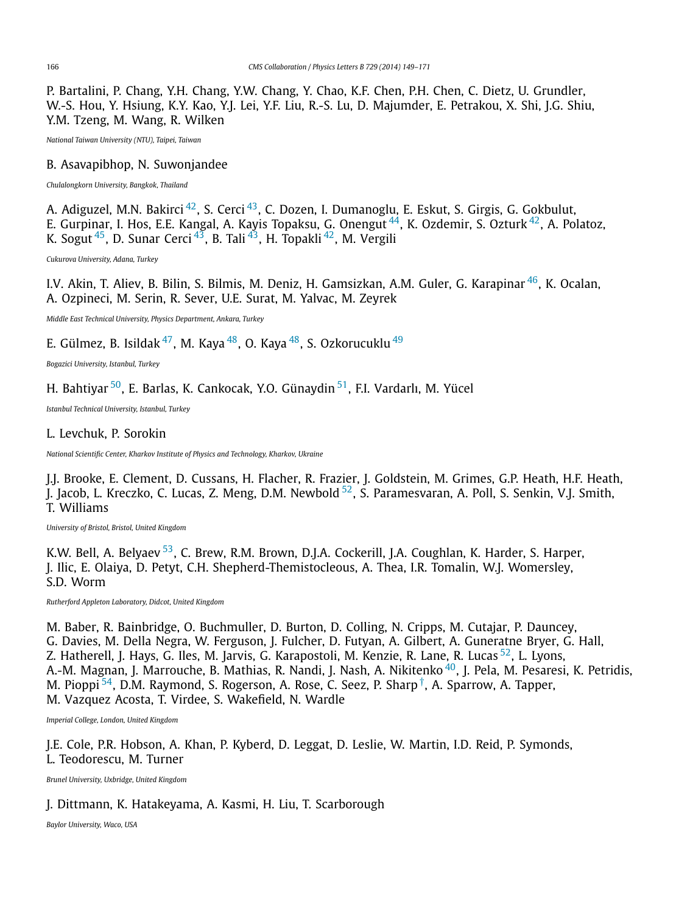P. Bartalini, P. Chang, Y.H. Chang, Y.W. Chang, Y. Chao, K.F. Chen, P.H. Chen, C. Dietz, U. Grundler, W.-S. Hou, Y. Hsiung, K.Y. Kao, Y.J. Lei, Y.F. Liu, R.-S. Lu, D. Majumder, E. Petrakou, X. Shi, J.G. Shiu, Y.M. Tzeng, M. Wang, R. Wilken

*National Taiwan University (NTU), Taipei, Taiwan*

# B. Asavapibhop, N. Suwonjandee

*Chulalongkorn University, Bangkok, Thailand*

A. Adiguzel, M.N. Bakirci<sup>42</sup>, S. Cerci<sup>43</sup>, C. Dozen, I. Dumanoglu, E. Eskut, S. Girgis, G. Gokbulut, E. Gurpinar, I. Hos, E.E. Kangal, A. Kayis Topaksu, G. Onengut [44,](#page-22-0) K. Ozdemir, S. Ozturk [42](#page-22-0), A. Polatoz, K. Sogut  $45$ , D. Sunar Cerci  $43$ , B. Tali  $43$ , H. Topakli  $42$ , M. Vergili

*Cukurova University, Adana, Turkey*

I.V. Akin, T. Aliev, B. Bilin, S. Bilmis, M. Deniz, H. Gamsizkan, A.M. Guler, G. Karapinar <sup>46</sup>, K. Ocalan, A. Ozpineci, M. Serin, R. Sever, U.E. Surat, M. Yalvac, M. Zeyrek

*Middle East Technical University, Physics Department, Ankara, Turkey*

E. Gülmez, B. Isildak<sup>47</sup>, M. Kaya<sup>48</sup>, O. Kaya<sup>48</sup>, S. Ozkorucuklu<sup>[49](#page-22-0)</sup>

*Bogazici University, Istanbul, Turkey*

H. Bahtiyar [50,](#page-22-0) E. Barlas, K. Cankocak, Y.O. Günaydin [51,](#page-22-0) F.I. Vardarlı, M. Yücel

*Istanbul Technical University, Istanbul, Turkey*

# L. Levchuk, P. Sorokin

*National Scientific Center, Kharkov Institute of Physics and Technology, Kharkov, Ukraine*

J.J. Brooke, E. Clement, D. Cussans, H. Flacher, R. Frazier, J. Goldstein, M. Grimes, G.P. Heath, H.F. Heath, J. Jacob, L. Kreczko, C. Lucas, Z. Meng, D.M. Newbold [52,](#page-22-0) S. Paramesvaran, A. Poll, S. Senkin, V.J. Smith, T. Williams

*University of Bristol, Bristol, United Kingdom*

K.W. Bell, A. Belyaev<sup>53</sup>, C. Brew, R.M. Brown, D.J.A. Cockerill, J.A. Coughlan, K. Harder, S. Harper, J. Ilic, E. Olaiya, D. Petyt, C.H. Shepherd-Themistocleous, A. Thea, I.R. Tomalin, W.J. Womersley, S.D. Worm

*Rutherford Appleton Laboratory, Didcot, United Kingdom*

M. Baber, R. Bainbridge, O. Buchmuller, D. Burton, D. Colling, N. Cripps, M. Cutajar, P. Dauncey, G. Davies, M. Della Negra, W. Ferguson, J. Fulcher, D. Futyan, A. Gilbert, A. Guneratne Bryer, G. Hall, Z. Hatherell, J. Hays, G. Iles, M. Jarvis, G. Karapostoli, M. Kenzie, R. Lane, R. Lucas <sup>52</sup>, L. Lyons, A.-M. Magnan, J. Marrouche, B. Mathias, R. Nandi, J. Nash, A. Nikitenko <sup>40</sup>, J. Pela, M. Pesaresi, K. Petridis, M. Pioppi  $54$ , D.M. Raymond, S. Rogerson, A. Rose, C. Seez, P. Sharp  $\dagger$ , A. Sparrow, A. Tapper, M. Vazquez Acosta, T. Virdee, S. Wakefield, N. Wardle

*Imperial College, London, United Kingdom*

J.E. Cole, P.R. Hobson, A. Khan, P. Kyberd, D. Leggat, D. Leslie, W. Martin, I.D. Reid, P. Symonds, L. Teodorescu, M. Turner

*Brunel University, Uxbridge, United Kingdom*

J. Dittmann, K. Hatakeyama, A. Kasmi, H. Liu, T. Scarborough

*Baylor University, Waco, USA*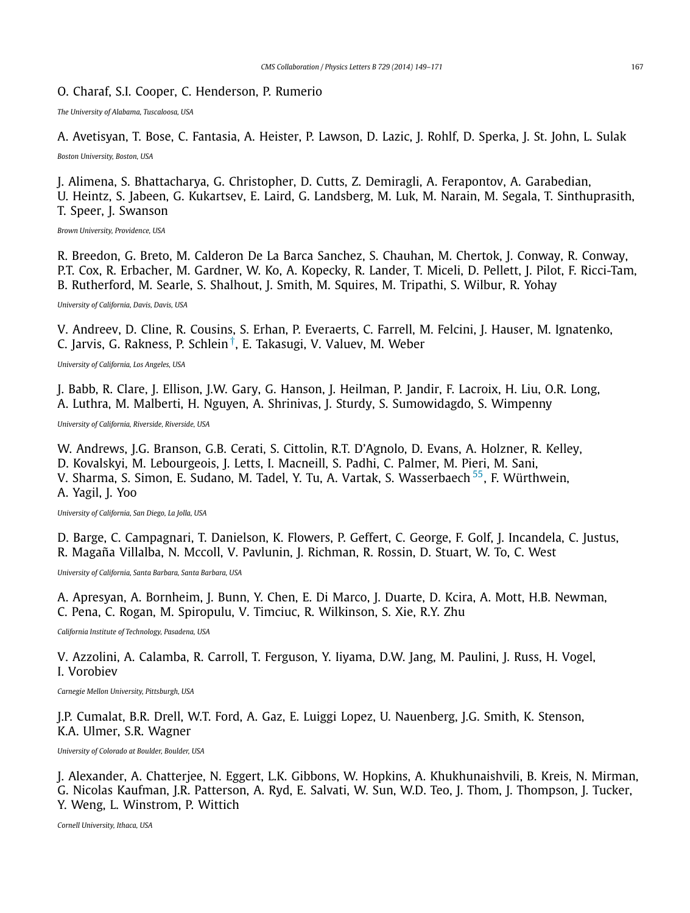# O. Charaf, S.I. Cooper, C. Henderson, P. Rumerio

*The University of Alabama, Tuscaloosa, USA*

A. Avetisyan, T. Bose, C. Fantasia, A. Heister, P. Lawson, D. Lazic, J. Rohlf, D. Sperka, J. St. John, L. Sulak

*Boston University, Boston, USA*

J. Alimena, S. Bhattacharya, G. Christopher, D. Cutts, Z. Demiragli, A. Ferapontov, A. Garabedian, U. Heintz, S. Jabeen, G. Kukartsev, E. Laird, G. Landsberg, M. Luk, M. Narain, M. Segala, T. Sinthuprasith, T. Speer, J. Swanson

*Brown University, Providence, USA*

R. Breedon, G. Breto, M. Calderon De La Barca Sanchez, S. Chauhan, M. Chertok, J. Conway, R. Conway, P.T. Cox, R. Erbacher, M. Gardner, W. Ko, A. Kopecky, R. Lander, T. Miceli, D. Pellett, J. Pilot, F. Ricci-Tam, B. Rutherford, M. Searle, S. Shalhout, J. Smith, M. Squires, M. Tripathi, S. Wilbur, R. Yohay

*University of California, Davis, Davis, USA*

V. Andreev, D. Cline, R. Cousins, S. Erhan, P. Everaerts, C. Farrell, M. Felcini, J. Hauser, M. Ignatenko, C. Jarvis, G. Rakness, P. Schlein [†,](#page-22-0) E. Takasugi, V. Valuev, M. Weber

*University of California, Los Angeles, USA*

J. Babb, R. Clare, J. Ellison, J.W. Gary, G. Hanson, J. Heilman, P. Jandir, F. Lacroix, H. Liu, O.R. Long, A. Luthra, M. Malberti, H. Nguyen, A. Shrinivas, J. Sturdy, S. Sumowidagdo, S. Wimpenny

*University of California, Riverside, Riverside, USA*

W. Andrews, J.G. Branson, G.B. Cerati, S. Cittolin, R.T. D'Agnolo, D. Evans, A. Holzner, R. Kelley, D. Kovalskyi, M. Lebourgeois, J. Letts, I. Macneill, S. Padhi, C. Palmer, M. Pieri, M. Sani, V. Sharma, S. Simon, E. Sudano, M. Tadel, Y. Tu, A. Vartak, S. Wasserbaech [55,](#page-22-0) F. Würthwein, A. Yagil, J. Yoo

*University of California, San Diego, La Jolla, USA*

D. Barge, C. Campagnari, T. Danielson, K. Flowers, P. Geffert, C. George, F. Golf, J. Incandela, C. Justus, R. Magaña Villalba, N. Mccoll, V. Pavlunin, J. Richman, R. Rossin, D. Stuart, W. To, C. West

*University of California, Santa Barbara, Santa Barbara, USA*

A. Apresyan, A. Bornheim, J. Bunn, Y. Chen, E. Di Marco, J. Duarte, D. Kcira, A. Mott, H.B. Newman, C. Pena, C. Rogan, M. Spiropulu, V. Timciuc, R. Wilkinson, S. Xie, R.Y. Zhu

*California Institute of Technology, Pasadena, USA*

V. Azzolini, A. Calamba, R. Carroll, T. Ferguson, Y. Iiyama, D.W. Jang, M. Paulini, J. Russ, H. Vogel, I. Vorobiev

*Carnegie Mellon University, Pittsburgh, USA*

J.P. Cumalat, B.R. Drell, W.T. Ford, A. Gaz, E. Luiggi Lopez, U. Nauenberg, J.G. Smith, K. Stenson, K.A. Ulmer, S.R. Wagner

*University of Colorado at Boulder, Boulder, USA*

J. Alexander, A. Chatterjee, N. Eggert, L.K. Gibbons, W. Hopkins, A. Khukhunaishvili, B. Kreis, N. Mirman, G. Nicolas Kaufman, J.R. Patterson, A. Ryd, E. Salvati, W. Sun, W.D. Teo, J. Thom, J. Thompson, J. Tucker, Y. Weng, L. Winstrom, P. Wittich

*Cornell University, Ithaca, USA*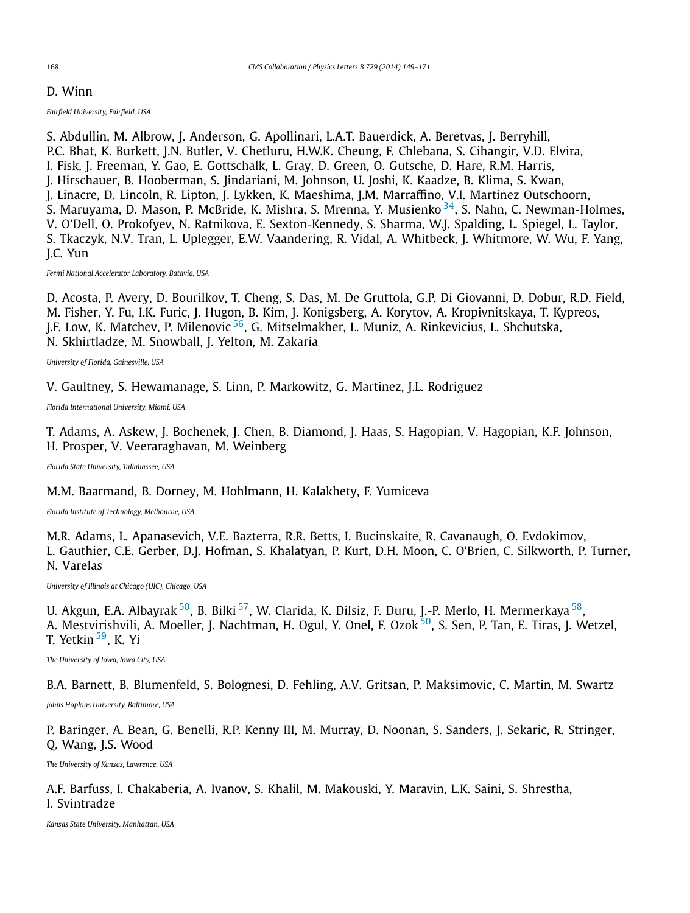# D. Winn

*Fairfield University, Fairfield, USA*

S. Abdullin, M. Albrow, J. Anderson, G. Apollinari, L.A.T. Bauerdick, A. Beretvas, J. Berryhill, P.C. Bhat, K. Burkett, J.N. Butler, V. Chetluru, H.W.K. Cheung, F. Chlebana, S. Cihangir, V.D. Elvira, I. Fisk, J. Freeman, Y. Gao, E. Gottschalk, L. Gray, D. Green, O. Gutsche, D. Hare, R.M. Harris, J. Hirschauer, B. Hooberman, S. Jindariani, M. Johnson, U. Joshi, K. Kaadze, B. Klima, S. Kwan, J. Linacre, D. Lincoln, R. Lipton, J. Lykken, K. Maeshima, J.M. Marraffino, V.I. Martinez Outschoorn, S. Maruyama, D. Mason, P. McBride, K. Mishra, S. Mrenna, Y. Musienko [34,](#page-22-0) S. Nahn, C. Newman-Holmes, V. O'Dell, O. Prokofyev, N. Ratnikova, E. Sexton-Kennedy, S. Sharma, W.J. Spalding, L. Spiegel, L. Taylor, S. Tkaczyk, N.V. Tran, L. Uplegger, E.W. Vaandering, R. Vidal, A. Whitbeck, J. Whitmore, W. Wu, F. Yang, J.C. Yun

*Fermi National Accelerator Laboratory, Batavia, USA*

D. Acosta, P. Avery, D. Bourilkov, T. Cheng, S. Das, M. De Gruttola, G.P. Di Giovanni, D. Dobur, R.D. Field, M. Fisher, Y. Fu, I.K. Furic, J. Hugon, B. Kim, J. Konigsberg, A. Korytov, A. Kropivnitskaya, T. Kypreos, J.F. Low, K. Matchev, P. Milenovic [56,](#page-22-0) G. Mitselmakher, L. Muniz, A. Rinkevicius, L. Shchutska, N. Skhirtladze, M. Snowball, J. Yelton, M. Zakaria

*University of Florida, Gainesville, USA*

V. Gaultney, S. Hewamanage, S. Linn, P. Markowitz, G. Martinez, J.L. Rodriguez

*Florida International University, Miami, USA*

T. Adams, A. Askew, J. Bochenek, J. Chen, B. Diamond, J. Haas, S. Hagopian, V. Hagopian, K.F. Johnson, H. Prosper, V. Veeraraghavan, M. Weinberg

*Florida State University, Tallahassee, USA*

M.M. Baarmand, B. Dorney, M. Hohlmann, H. Kalakhety, F. Yumiceva

*Florida Institute of Technology, Melbourne, USA*

M.R. Adams, L. Apanasevich, V.E. Bazterra, R.R. Betts, I. Bucinskaite, R. Cavanaugh, O. Evdokimov, L. Gauthier, C.E. Gerber, D.J. Hofman, S. Khalatyan, P. Kurt, D.H. Moon, C. O'Brien, C. Silkworth, P. Turner, N. Varelas

*University of Illinois at Chicago (UIC), Chicago, USA*

U. Akgun, E.A. Albayrak <sup>50</sup>, B. Bilki <sup>57</sup>, W. Clarida, K. Dilsiz, F. Duru, J.-P. Merlo, H. Mermerkaya <sup>58</sup>, A. Mestvirishvili, A. Moeller, J. Nachtman, H. Ogul, Y. Onel, F. Ozok<sup>50</sup>, S. Sen, P. Tan, E. Tiras, J. Wetzel, T. Yetkin<sup>59</sup>, K. Yi

*The University of Iowa, Iowa City, USA*

B.A. Barnett, B. Blumenfeld, S. Bolognesi, D. Fehling, A.V. Gritsan, P. Maksimovic, C. Martin, M. Swartz *Johns Hopkins University, Baltimore, USA*

P. Baringer, A. Bean, G. Benelli, R.P. Kenny III, M. Murray, D. Noonan, S. Sanders, J. Sekaric, R. Stringer, Q. Wang, J.S. Wood

*The University of Kansas, Lawrence, USA*

A.F. Barfuss, I. Chakaberia, A. Ivanov, S. Khalil, M. Makouski, Y. Maravin, L.K. Saini, S. Shrestha, I. Svintradze

*Kansas State University, Manhattan, USA*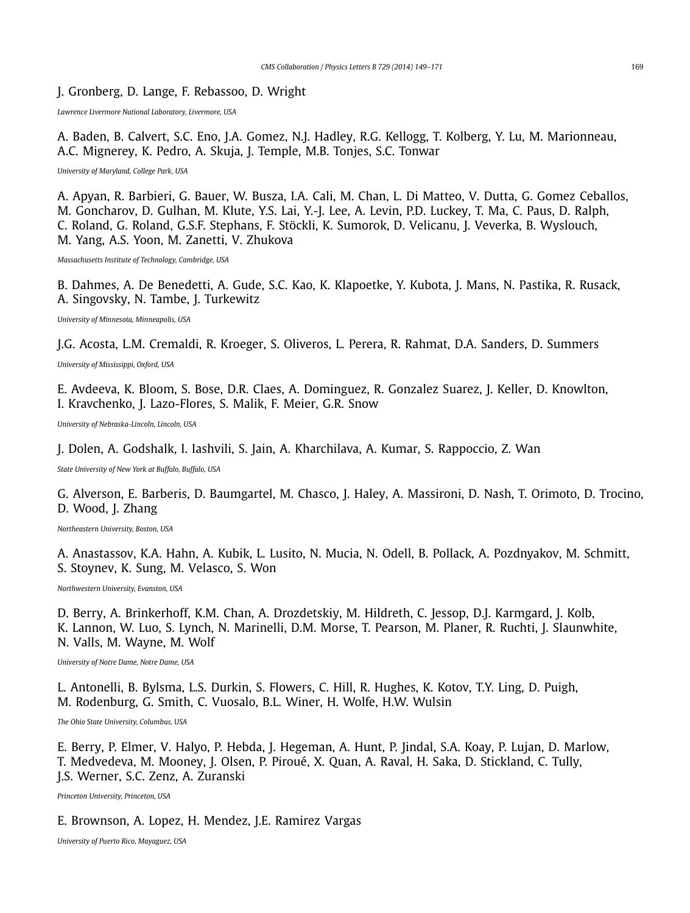# J. Gronberg, D. Lange, F. Rebassoo, D. Wright

*Lawrence Livermore National Laboratory, Livermore, USA*

A. Baden, B. Calvert, S.C. Eno, J.A. Gomez, N.J. Hadley, R.G. Kellogg, T. Kolberg, Y. Lu, M. Marionneau, A.C. Mignerey, K. Pedro, A. Skuja, J. Temple, M.B. Tonjes, S.C. Tonwar

*University of Maryland, College Park, USA*

A. Apyan, R. Barbieri, G. Bauer, W. Busza, I.A. Cali, M. Chan, L. Di Matteo, V. Dutta, G. Gomez Ceballos, M. Goncharov, D. Gulhan, M. Klute, Y.S. Lai, Y.-J. Lee, A. Levin, P.D. Luckey, T. Ma, C. Paus, D. Ralph, C. Roland, G. Roland, G.S.F. Stephans, F. Stöckli, K. Sumorok, D. Velicanu, J. Veverka, B. Wyslouch, M. Yang, A.S. Yoon, M. Zanetti, V. Zhukova

*Massachusetts Institute of Technology, Cambridge, USA*

B. Dahmes, A. De Benedetti, A. Gude, S.C. Kao, K. Klapoetke, Y. Kubota, J. Mans, N. Pastika, R. Rusack, A. Singovsky, N. Tambe, J. Turkewitz

*University of Minnesota, Minneapolis, USA*

J.G. Acosta, L.M. Cremaldi, R. Kroeger, S. Oliveros, L. Perera, R. Rahmat, D.A. Sanders, D. Summers

*University of Mississippi, Oxford, USA*

E. Avdeeva, K. Bloom, S. Bose, D.R. Claes, A. Dominguez, R. Gonzalez Suarez, J. Keller, D. Knowlton, I. Kravchenko, J. Lazo-Flores, S. Malik, F. Meier, G.R. Snow

*University of Nebraska-Lincoln, Lincoln, USA*

J. Dolen, A. Godshalk, I. Iashvili, S. Jain, A. Kharchilava, A. Kumar, S. Rappoccio, Z. Wan

*State University of New York at Buffalo, Buffalo, USA*

G. Alverson, E. Barberis, D. Baumgartel, M. Chasco, J. Haley, A. Massironi, D. Nash, T. Orimoto, D. Trocino, D. Wood, J. Zhang

*Northeastern University, Boston, USA*

A. Anastassov, K.A. Hahn, A. Kubik, L. Lusito, N. Mucia, N. Odell, B. Pollack, A. Pozdnyakov, M. Schmitt, S. Stoynev, K. Sung, M. Velasco, S. Won

*Northwestern University, Evanston, USA*

D. Berry, A. Brinkerhoff, K.M. Chan, A. Drozdetskiy, M. Hildreth, C. Jessop, D.J. Karmgard, J. Kolb, K. Lannon, W. Luo, S. Lynch, N. Marinelli, D.M. Morse, T. Pearson, M. Planer, R. Ruchti, J. Slaunwhite, N. Valls, M. Wayne, M. Wolf

*University of Notre Dame, Notre Dame, USA*

L. Antonelli, B. Bylsma, L.S. Durkin, S. Flowers, C. Hill, R. Hughes, K. Kotov, T.Y. Ling, D. Puigh, M. Rodenburg, G. Smith, C. Vuosalo, B.L. Winer, H. Wolfe, H.W. Wulsin

*The Ohio State University, Columbus, USA*

E. Berry, P. Elmer, V. Halyo, P. Hebda, J. Hegeman, A. Hunt, P. Jindal, S.A. Koay, P. Lujan, D. Marlow, T. Medvedeva, M. Mooney, J. Olsen, P. Piroué, X. Quan, A. Raval, H. Saka, D. Stickland, C. Tully, J.S. Werner, S.C. Zenz, A. Zuranski

*Princeton University, Princeton, USA*

E. Brownson, A. Lopez, H. Mendez, J.E. Ramirez Vargas

*University of Puerto Rico, Mayaguez, USA*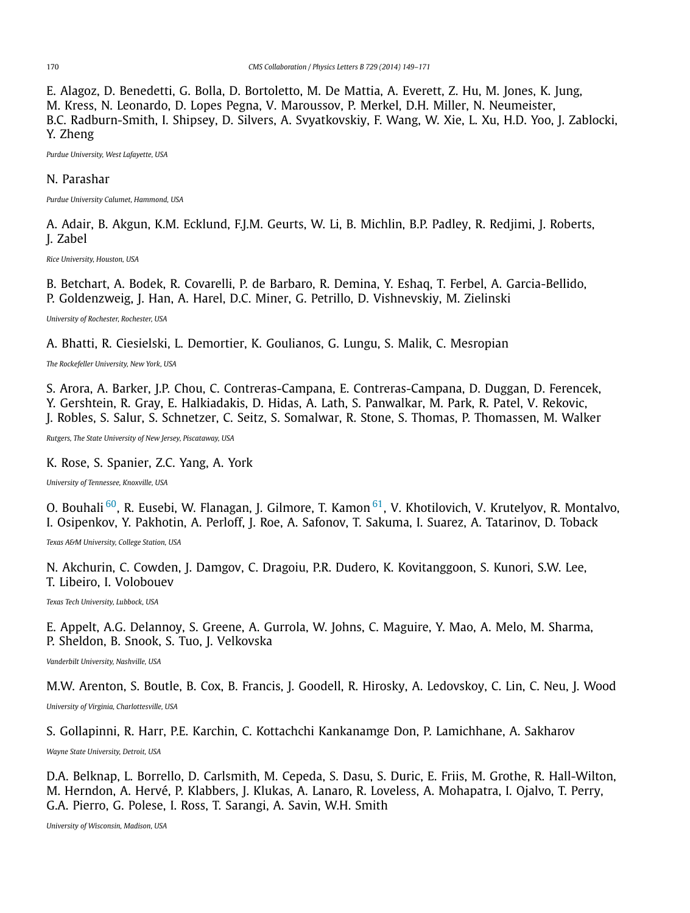E. Alagoz, D. Benedetti, G. Bolla, D. Bortoletto, M. De Mattia, A. Everett, Z. Hu, M. Jones, K. Jung, M. Kress, N. Leonardo, D. Lopes Pegna, V. Maroussov, P. Merkel, D.H. Miller, N. Neumeister, B.C. Radburn-Smith, I. Shipsey, D. Silvers, A. Svyatkovskiy, F. Wang, W. Xie, L. Xu, H.D. Yoo, J. Zablocki, Y. Zheng

*Purdue University, West Lafayette, USA*

# N. Parashar

*Purdue University Calumet, Hammond, USA*

A. Adair, B. Akgun, K.M. Ecklund, F.J.M. Geurts, W. Li, B. Michlin, B.P. Padley, R. Redjimi, J. Roberts, J. Zabel

*Rice University, Houston, USA*

B. Betchart, A. Bodek, R. Covarelli, P. de Barbaro, R. Demina, Y. Eshaq, T. Ferbel, A. Garcia-Bellido, P. Goldenzweig, J. Han, A. Harel, D.C. Miner, G. Petrillo, D. Vishnevskiy, M. Zielinski

*University of Rochester, Rochester, USA*

A. Bhatti, R. Ciesielski, L. Demortier, K. Goulianos, G. Lungu, S. Malik, C. Mesropian

*The Rockefeller University, New York, USA*

S. Arora, A. Barker, J.P. Chou, C. Contreras-Campana, E. Contreras-Campana, D. Duggan, D. Ferencek, Y. Gershtein, R. Gray, E. Halkiadakis, D. Hidas, A. Lath, S. Panwalkar, M. Park, R. Patel, V. Rekovic, J. Robles, S. Salur, S. Schnetzer, C. Seitz, S. Somalwar, R. Stone, S. Thomas, P. Thomassen, M. Walker

*Rutgers, The State University of New Jersey, Piscataway, USA*

# K. Rose, S. Spanier, Z.C. Yang, A. York

*University of Tennessee, Knoxville, USA*

O. Bouhali <sup>60</sup>, R. Eusebi, W. Flanagan, J. Gilmore, T. Kamon <sup>61</sup>, V. Khotilovich, V. Krutelyov, R. Montalvo, I. Osipenkov, Y. Pakhotin, A. Perloff, J. Roe, A. Safonov, T. Sakuma, I. Suarez, A. Tatarinov, D. Toback

*Texas A&M University, College Station, USA*

N. Akchurin, C. Cowden, J. Damgov, C. Dragoiu, P.R. Dudero, K. Kovitanggoon, S. Kunori, S.W. Lee, T. Libeiro, I. Volobouev

*Texas Tech University, Lubbock, USA*

E. Appelt, A.G. Delannoy, S. Greene, A. Gurrola, W. Johns, C. Maguire, Y. Mao, A. Melo, M. Sharma, P. Sheldon, B. Snook, S. Tuo, J. Velkovska

*Vanderbilt University, Nashville, USA*

M.W. Arenton, S. Boutle, B. Cox, B. Francis, J. Goodell, R. Hirosky, A. Ledovskoy, C. Lin, C. Neu, J. Wood *University of Virginia, Charlottesville, USA*

S. Gollapinni, R. Harr, P.E. Karchin, C. Kottachchi Kankanamge Don, P. Lamichhane, A. Sakharov

*Wayne State University, Detroit, USA*

D.A. Belknap, L. Borrello, D. Carlsmith, M. Cepeda, S. Dasu, S. Duric, E. Friis, M. Grothe, R. Hall-Wilton, M. Herndon, A. Hervé, P. Klabbers, J. Klukas, A. Lanaro, R. Loveless, A. Mohapatra, I. Ojalvo, T. Perry, G.A. Pierro, G. Polese, I. Ross, T. Sarangi, A. Savin, W.H. Smith

*University of Wisconsin, Madison, USA*